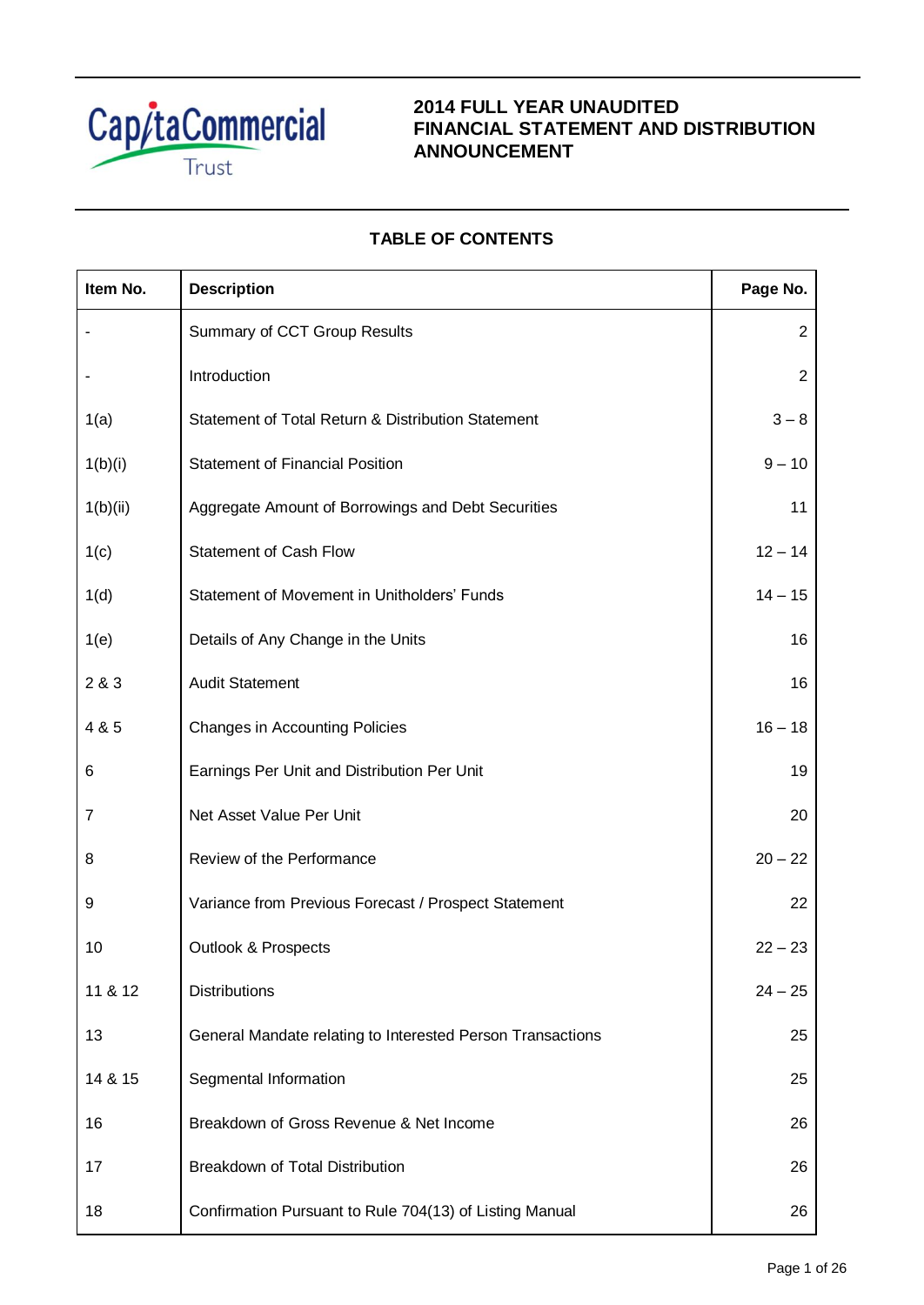

# **2014 FULL YEAR UNAUDITED FINANCIAL STATEMENT AND DISTRIBUTION ANNOUNCEMENT**

# **TABLE OF CONTENTS**

| Item No. | <b>Description</b>                                         | Page No.       |
|----------|------------------------------------------------------------|----------------|
|          | Summary of CCT Group Results                               | $\overline{2}$ |
|          | Introduction                                               | $\overline{2}$ |
| 1(a)     | Statement of Total Return & Distribution Statement         | $3 - 8$        |
| 1(b)(i)  | <b>Statement of Financial Position</b>                     | $9 - 10$       |
| 1(b)(ii) | Aggregate Amount of Borrowings and Debt Securities         | 11             |
| 1(c)     | <b>Statement of Cash Flow</b>                              | $12 - 14$      |
| 1(d)     | Statement of Movement in Unitholders' Funds                | $14 - 15$      |
| 1(e)     | Details of Any Change in the Units                         | 16             |
| 2 & 3    | <b>Audit Statement</b>                                     | 16             |
| 4 & 5    | <b>Changes in Accounting Policies</b>                      | $16 - 18$      |
| 6        | Earnings Per Unit and Distribution Per Unit                | 19             |
| 7        | Net Asset Value Per Unit                                   | 20             |
| 8        | Review of the Performance                                  | $20 - 22$      |
| 9        | Variance from Previous Forecast / Prospect Statement       | 22             |
| 10       | <b>Outlook &amp; Prospects</b>                             | $22 - 23$      |
| 11 & 12  | <b>Distributions</b>                                       | $24 - 25$      |
| 13       | General Mandate relating to Interested Person Transactions | 25             |
| 14 & 15  | Segmental Information                                      | 25             |
| 16       | Breakdown of Gross Revenue & Net Income                    | 26             |
| 17       | <b>Breakdown of Total Distribution</b>                     | 26             |
| 18       | Confirmation Pursuant to Rule 704(13) of Listing Manual    | 26             |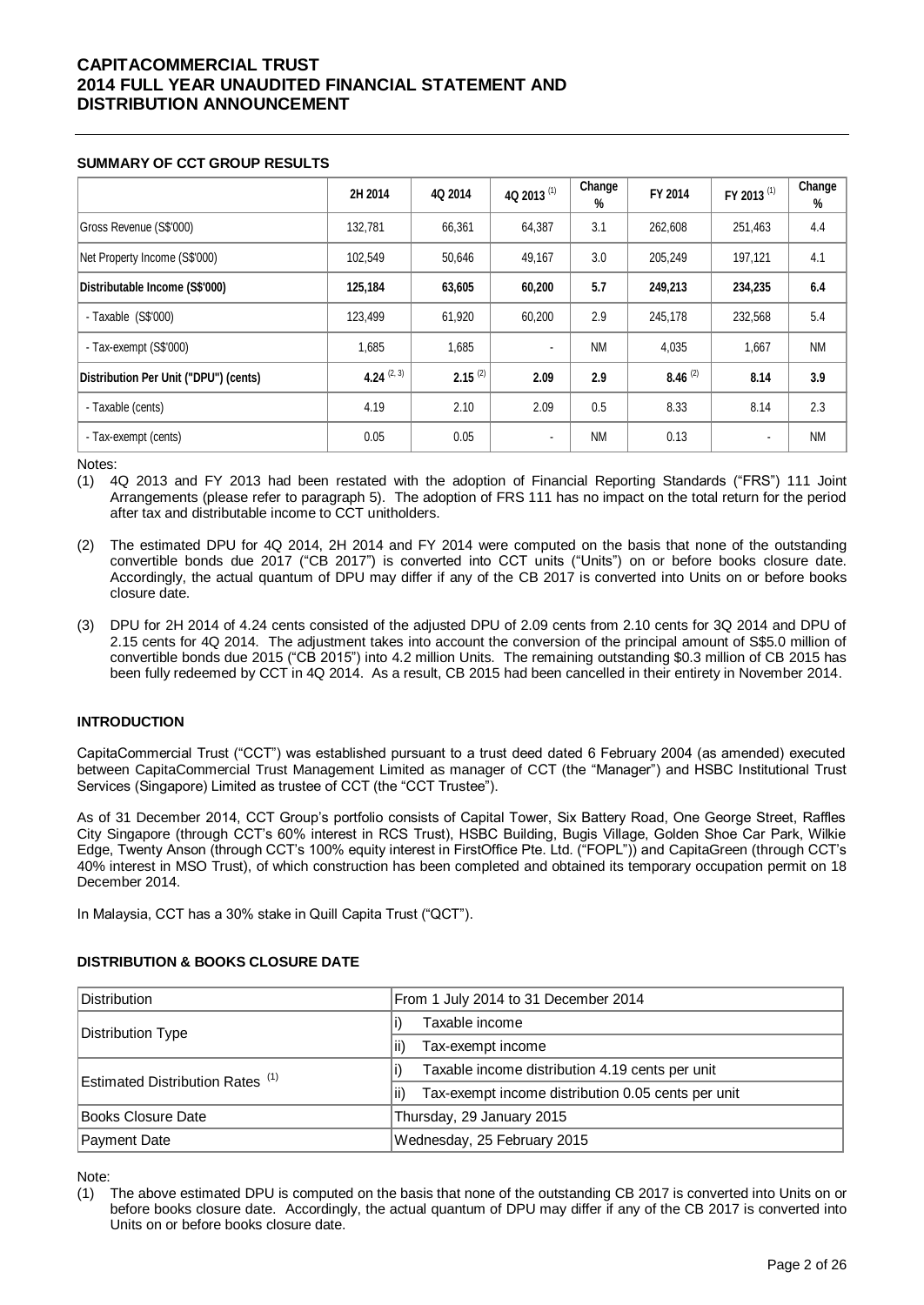### **SUMMARY OF CCT GROUP RESULTS**

|                                       | 2H 2014       | 4Q 2014      | 4Q 2013 <sup>(1)</sup> | Change<br>% | FY 2014      | FY 2013 <sup>(1)</sup> | Change<br>% |
|---------------------------------------|---------------|--------------|------------------------|-------------|--------------|------------------------|-------------|
| Gross Revenue (S\$'000)               | 132,781       | 66,361       | 64,387                 | 3.1         | 262,608      | 251,463                | 4.4         |
| Net Property Income (S\$'000)         | 102,549       | 50,646       | 49,167                 | 3.0         | 205,249      | 197,121                | 4.1         |
| Distributable Income (S\$'000)        | 125,184       | 63,605       | 60,200                 | 5.7         | 249,213      | 234,235                | 6.4         |
| - Taxable $(S$'000)$                  | 123,499       | 61,920       | 60,200                 | 2.9         | 245,178      | 232,568                | 5.4         |
| - Tax-exempt (S\$'000)                | 1,685         | 1,685        | $\blacksquare$         | <b>NM</b>   | 4,035        | 1,667                  | <b>NM</b>   |
| Distribution Per Unit ("DPU") (cents) | 4.24 $(2, 3)$ | $2.15^{(2)}$ | 2.09                   | 2.9         | $8.46^{(2)}$ | 8.14                   | 3.9         |
| - Taxable (cents)                     | 4.19          | 2.10         | 2.09                   | 0.5         | 8.33         | 8.14                   | 2.3         |
| - Tax-exempt (cents)                  | 0.05          | 0.05         |                        | <b>NM</b>   | 0.13         |                        | <b>NM</b>   |

Notes:

(1) 4Q 2013 and FY 2013 had been restated with the adoption of Financial Reporting Standards ("FRS") 111 Joint Arrangements (please refer to paragraph 5). The adoption of FRS 111 has no impact on the total return for the period after tax and distributable income to CCT unitholders.

(2) The estimated DPU for 4Q 2014, 2H 2014 and FY 2014 were computed on the basis that none of the outstanding convertible bonds due 2017 ("CB 2017") is converted into CCT units ("Units") on or before books closure date. Accordingly, the actual quantum of DPU may differ if any of the CB 2017 is converted into Units on or before books closure date.

(3) DPU for 2H 2014 of 4.24 cents consisted of the adjusted DPU of 2.09 cents from 2.10 cents for 3Q 2014 and DPU of 2.15 cents for 4Q 2014. The adjustment takes into account the conversion of the principal amount of S\$5.0 million of convertible bonds due 2015 ("CB 2015") into 4.2 million Units. The remaining outstanding \$0.3 million of CB 2015 has been fully redeemed by CCT in 4Q 2014. As a result, CB 2015 had been cancelled in their entirety in November 2014.

### **INTRODUCTION**

CapitaCommercial Trust ("CCT") was established pursuant to a trust deed dated 6 February 2004 (as amended) executed between CapitaCommercial Trust Management Limited as manager of CCT (the "Manager") and HSBC Institutional Trust Services (Singapore) Limited as trustee of CCT (the "CCT Trustee").

As of 31 December 2014, CCT Group's portfolio consists of Capital Tower, Six Battery Road, One George Street, Raffles City Singapore (through CCT's 60% interest in RCS Trust), HSBC Building, Bugis Village, Golden Shoe Car Park, Wilkie Edge, Twenty Anson (through CCT's 100% equity interest in FirstOffice Pte. Ltd. ("FOPL")) and CapitaGreen (through CCT's 40% interest in MSO Trust), of which construction has been completed and obtained its temporary occupation permit on 18 December 2014.

In Malaysia, CCT has a 30% stake in Quill Capita Trust ("QCT").

### **DISTRIBUTION & BOOKS CLOSURE DATE**

| <b>Distribution</b>                         | From 1 July 2014 to 31 December 2014                       |  |  |  |  |
|---------------------------------------------|------------------------------------------------------------|--|--|--|--|
| Distribution Type                           | Taxable income                                             |  |  |  |  |
|                                             | Tax-exempt income<br>li)                                   |  |  |  |  |
| Estimated Distribution Rates <sup>(1)</sup> | Taxable income distribution 4.19 cents per unit            |  |  |  |  |
|                                             | Tax-exempt income distribution 0.05 cents per unit<br>lii) |  |  |  |  |
| Books Closure Date                          | Thursday, 29 January 2015                                  |  |  |  |  |
| Payment Date                                | Wednesday, 25 February 2015                                |  |  |  |  |

Note:

<sup>(1)</sup> The above estimated DPU is computed on the basis that none of the outstanding CB 2017 is converted into Units on or before books closure date. Accordingly, the actual quantum of DPU may differ if any of the CB 2017 is converted into Units on or before books closure date.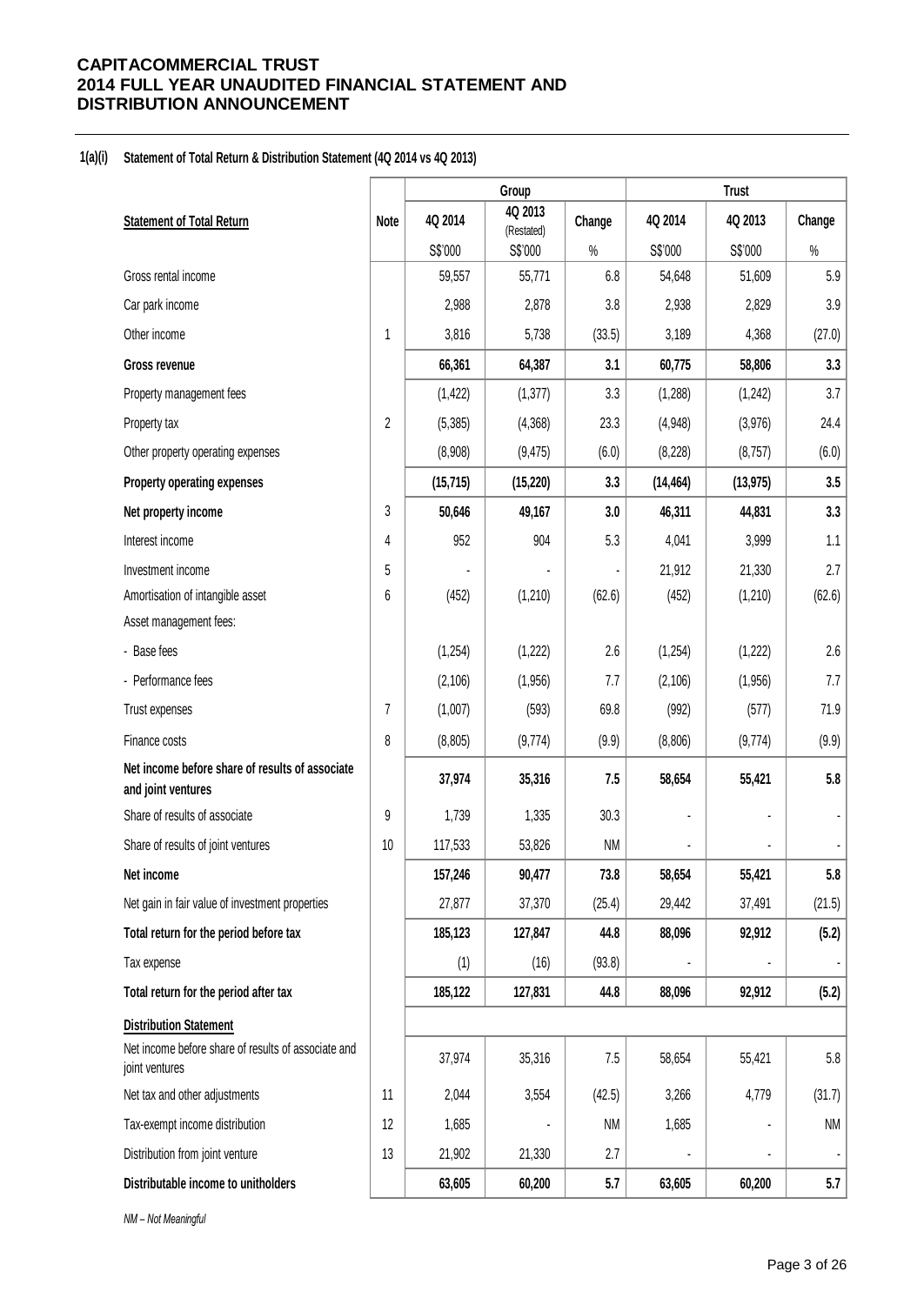### **1(a)(i) Statement of Total Return & Distribution Statement (4Q 2014 vs 4Q 2013)**

|                                                                       |                | Group     |                       |           | <b>Trust</b> |           |        |
|-----------------------------------------------------------------------|----------------|-----------|-----------------------|-----------|--------------|-----------|--------|
| <b>Statement of Total Return</b>                                      | Note           | 4Q 2014   | 4Q 2013<br>(Restated) | Change    | 4Q 2014      | 4Q 2013   | Change |
|                                                                       |                | S\$'000   | S\$'000               | $\%$      | S\$'000      | S\$'000   | $\%$   |
| Gross rental income                                                   |                | 59,557    | 55,771                | 6.8       | 54,648       | 51,609    | 5.9    |
| Car park income                                                       |                | 2,988     | 2,878                 | 3.8       | 2,938        | 2,829     | 3.9    |
| Other income                                                          | 1              | 3,816     | 5,738                 | (33.5)    | 3,189        | 4,368     | (27.0) |
| Gross revenue                                                         |                | 66,361    | 64,387                | 3.1       | 60,775       | 58,806    | 3.3    |
| Property management fees                                              |                | (1, 422)  | (1, 377)              | 3.3       | (1, 288)     | (1, 242)  | 3.7    |
| Property tax                                                          | $\overline{2}$ | (5, 385)  | (4,368)               | 23.3      | (4,948)      | (3,976)   | 24.4   |
| Other property operating expenses                                     |                | (8,908)   | (9, 475)              | (6.0)     | (8, 228)     | (8,757)   | (6.0)  |
| Property operating expenses                                           |                | (15, 715) | (15, 220)             | 3.3       | (14, 464)    | (13, 975) | 3.5    |
| Net property income                                                   | 3              | 50,646    | 49,167                | 3.0       | 46,311       | 44,831    | 3.3    |
| Interest income                                                       | 4              | 952       | 904                   | 5.3       | 4,041        | 3,999     | 1.1    |
| Investment income                                                     | 5              |           |                       |           | 21,912       | 21,330    | 2.7    |
| Amortisation of intangible asset                                      | 6              | (452)     | (1, 210)              | (62.6)    | (452)        | (1,210)   | (62.6) |
| Asset management fees:                                                |                |           |                       |           |              |           |        |
| - Base fees                                                           |                | (1,254)   | (1, 222)              | 2.6       | (1, 254)     | (1, 222)  | 2.6    |
| - Performance fees                                                    |                | (2, 106)  | (1,956)               | 7.7       | (2, 106)     | (1,956)   | 7.7    |
| Trust expenses                                                        | 7              | (1,007)   | (593)                 | 69.8      | (992)        | (577)     | 71.9   |
| Finance costs                                                         | 8              | (8, 805)  | (9,774)               | (9.9)     | (8,806)      | (9,774)   | (9.9)  |
| Net income before share of results of associate<br>and joint ventures |                | 37,974    | 35,316                | 7.5       | 58,654       | 55,421    | 5.8    |
| Share of results of associate                                         | 9              | 1,739     | 1,335                 | 30.3      |              |           |        |
| Share of results of joint ventures                                    | 10             | 117,533   | 53,826                | <b>NM</b> |              |           |        |
| Net income                                                            |                | 157,246   | 90,477                | 73.8      | 58,654       | 55,421    | 5.8    |
| Net gain in fair value of investment properties                       |                | 27,877    | 37,370                | (25.4)    | 29,442       | 37,491    | (21.5) |
| Total return for the period before tax                                |                | 185,123   | 127,847               | 44.8      | 88,096       | 92,912    | (5.2)  |
| Tax expense                                                           |                | (1)       | (16)                  | (93.8)    |              |           |        |
| Total return for the period after tax                                 |                | 185,122   | 127,831               | 44.8      | 88,096       | 92,912    | (5.2)  |
| <b>Distribution Statement</b>                                         |                |           |                       |           |              |           |        |
| Net income before share of results of associate and<br>joint ventures |                | 37,974    | 35,316                | 7.5       | 58,654       | 55,421    | 5.8    |
| Net tax and other adjustments                                         | 11             | 2,044     | 3,554                 | (42.5)    | 3,266        | 4,779     | (31.7) |
| Tax-exempt income distribution                                        | 12             | 1,685     |                       | <b>NM</b> | 1,685        |           | NM     |
| Distribution from joint venture                                       | 13             | 21,902    | 21,330                | 2.7       |              |           |        |
| Distributable income to unitholders                                   |                | 63,605    | 60,200                | 5.7       | 63,605       | 60,200    | 5.7    |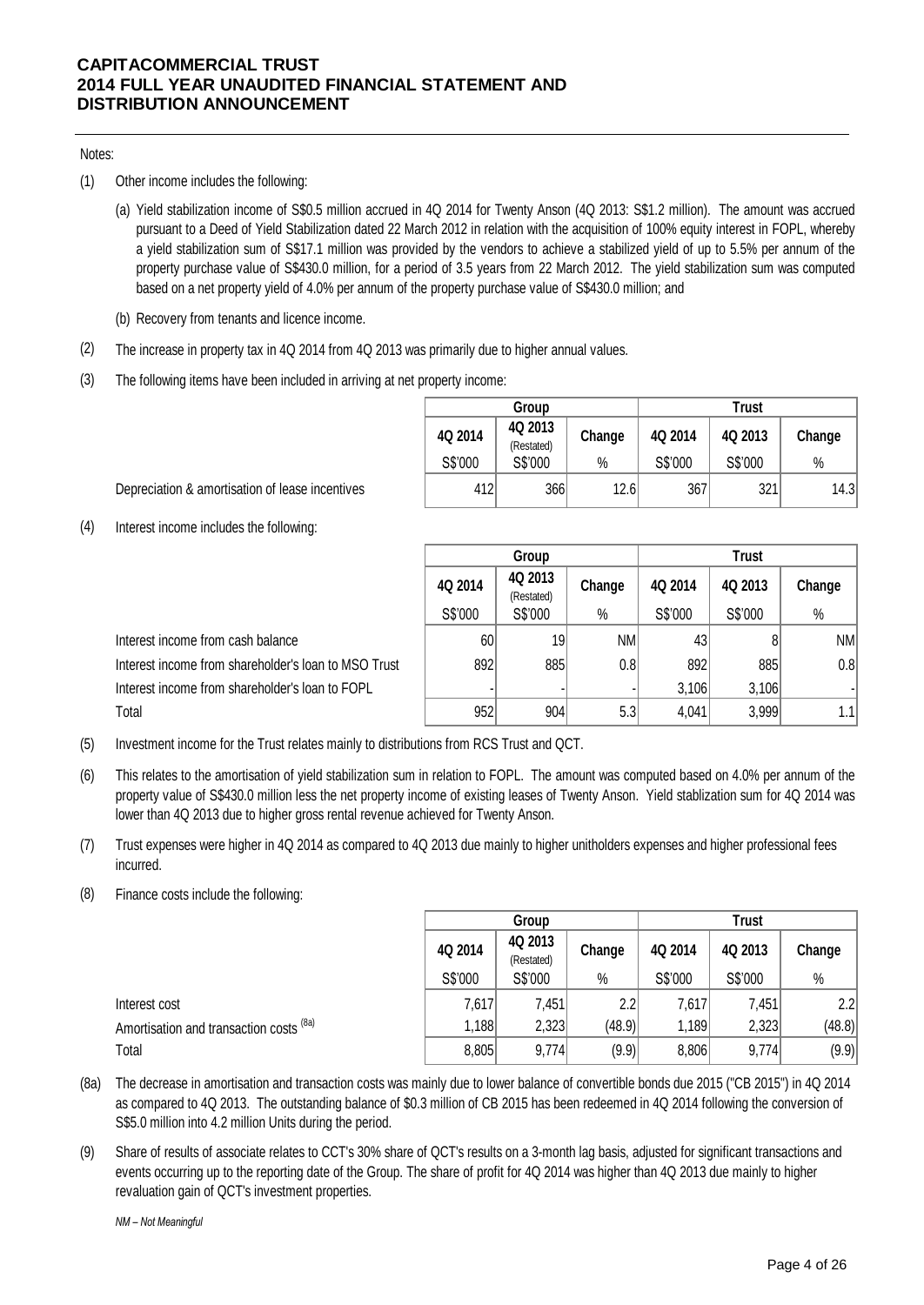### Notes:

- (1) Other income includes the following:
	- (a) Yield stabilization income of S\$0.5 million accrued in 4Q 2014 for Twenty Anson (4Q 2013: S\$1.2 million). The amount was accrued pursuant to a Deed of Yield Stabilization dated 22 March 2012 in relation with the acquisition of 100% equity interest in FOPL, whereby a yield stabilization sum of S\$17.1 million was provided by the vendors to achieve a stabilized yield of up to 5.5% per annum of the property purchase value of S\$430.0 million, for a period of 3.5 years from 22 March 2012. The yield stabilization sum was computed based on a net property yield of 4.0% per annum of the property purchase value of S\$430.0 million; and
	- (b) Recovery from tenants and licence income.
- (2) The increase in property tax in 4Q 2014 from 4Q 2013 was primarily due to higher annual values.
- (3) The following items have been included in arriving at net property income:

|         | Group                 |        | <b>Trust</b> |         |        |  |
|---------|-----------------------|--------|--------------|---------|--------|--|
| 4Q 2014 | 4Q 2013<br>(Restated) | Change | 4Q 2014      | 4Q 2013 | Change |  |
| S\$'000 | S\$'000               | $\%$   | S\$'000      | S\$'000 | $\%$   |  |
| 412     | 366                   | 12.6   | 367          | 321     | 14.3   |  |

Depreciation & amortisation of lease incentives

(4) Interest income includes the following:

|                                                      |         | Group                 |        | <b>Trust</b> |         |        |  |
|------------------------------------------------------|---------|-----------------------|--------|--------------|---------|--------|--|
|                                                      | 4Q 2014 | 4Q 2013<br>(Restated) | Change | 4Q 2014      | 4Q 2013 | Change |  |
|                                                      | S\$'000 | S\$'000               | $\%$   | S\$'000      | S\$'000 | $\%$   |  |
| Interest income from cash balance                    | 60      | 19                    | NM.    | 43           | 8       | NM     |  |
| Interest income from shareholder's loan to MSO Trust | 892     | 885                   | 0.8    | 892          | 885     | 0.8    |  |
| Interest income from shareholder's loan to FOPL      |         |                       |        | 3,106        | 3,106   |        |  |
| Total                                                | 952     | 904                   | 5.3    | 4,041        | 3,999   | 1.1    |  |

- (5) Investment income for the Trust relates mainly to distributions from RCS Trust and QCT.
- (6) This relates to the amortisation of yield stabilization sum in relation to FOPL. The amount was computed based on 4.0% per annum of the property value of S\$430.0 million less the net property income of existing leases of Twenty Anson. Yield stablization sum for 4Q 2014 was lower than 4Q 2013 due to higher gross rental revenue achieved for Twenty Anson.
- (7) Trust expenses were higher in 4Q 2014 as compared to 4Q 2013 due mainly to higher unitholders expenses and higher professional fees incurred.
- (8) Finance costs include the following:

|                                         |         | Group                 |        | Trust   |         |        |  |
|-----------------------------------------|---------|-----------------------|--------|---------|---------|--------|--|
|                                         | 4Q 2014 | 4Q 2013<br>(Restated) | Change | 4Q 2014 | 4Q 2013 | Change |  |
|                                         | S\$'000 | S\$'000               | $\%$   | S\$'000 | S\$'000 | $\%$   |  |
| Interest cost                           | 7,617   | 7,451                 | 2.2    | 7,617   | 7,451   | 2.2    |  |
| Amortisation and transaction costs (8a) | 1,188   | 2,323                 | (48.9) | 1,189   | 2,323   | (48.8) |  |
| Total                                   | 8,805   | 9,774                 | (9.9)  | 8,806   | 9,774   | (9.9)  |  |

- (8a) The decrease in amortisation and transaction costs was mainly due to lower balance of convertible bonds due 2015 ("CB 2015") in 4Q 2014 as compared to 4Q 2013. The outstanding balance of \$0.3 million of CB 2015 has been redeemed in 4Q 2014 following the conversion of S\$5.0 million into 4.2 million Units during the period.
- (9) Share of results of associate relates to CCT's 30% share of QCT's results on a 3-month lag basis, adjusted for significant transactions and events occurring up to the reporting date of the Group. The share of profit for 4Q 2014 was higher than 4Q 2013 due mainly to higher revaluation gain of QCT's investment properties.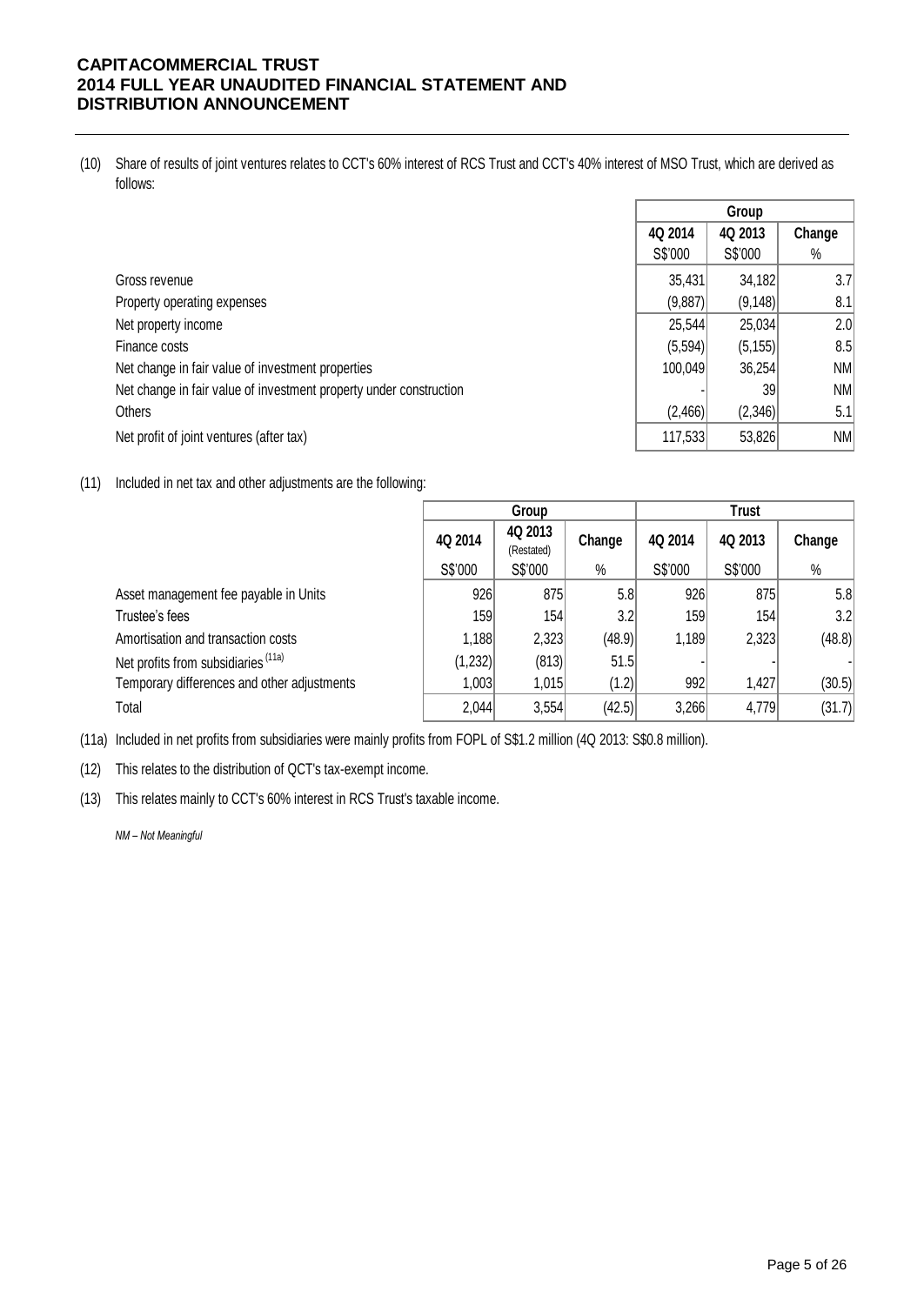(10) Share of results of joint ventures relates to CCT's 60% interest of RCS Trust and CCT's 40% interest of MSO Trust, which are derived as follows:

|                                                                    |         | Group    |        |
|--------------------------------------------------------------------|---------|----------|--------|
|                                                                    | 4Q 2014 | 4Q 2013  | Change |
|                                                                    | S\$'000 | S\$'000  | $\%$   |
| Gross revenue                                                      | 35,431  | 34,182   | 3.7    |
| Property operating expenses                                        | (9,887) | (9, 148) | 8.1    |
| Net property income                                                | 25,544  | 25,034   | 2.0    |
| Finance costs                                                      | (5,594) | (5, 155) | 8.5    |
| Net change in fair value of investment properties                  | 100,049 | 36,254   | NM     |
| Net change in fair value of investment property under construction |         | 39       | NM     |
| Others                                                             | (2,466) | (2,346)  | 5.1    |
| Net profit of joint ventures (after tax)                           | 117,533 | 53,826   | NM     |

(11) Included in net tax and other adjustments are the following:

|                                                | Group   |                       |        | <b>Trust</b> |         |        |
|------------------------------------------------|---------|-----------------------|--------|--------------|---------|--------|
|                                                | 4Q 2014 | 4Q 2013<br>(Restated) | Change | 4Q 2014      | 4Q 2013 | Change |
|                                                | S\$'000 | S\$'000               | %      | S\$'000      | S\$'000 | $\%$   |
| Asset management fee payable in Units          | 926     | 875                   | 5.8    | 926          | 875     | 5.8    |
| Trustee's fees                                 | 159     | 154                   | 3.2    | 159          | 154     | 3.2    |
| Amortisation and transaction costs             | 1,188   | 2,323                 | (48.9) | 1,189        | 2,323   | (48.8) |
| Net profits from subsidiaries <sup>(11a)</sup> | (1,232) | (813)                 | 51.5   |              |         |        |
| Temporary differences and other adjustments    | 1,003   | 1,015                 | (1.2)  | 992          | 1,427   | (30.5) |
| Total                                          | 2,044   | 3,554                 | (42.5) | 3,266        | 4,779   | (31.7) |

(11a) Included in net profits from subsidiaries were mainly profits from FOPL of S\$1.2 million (4Q 2013: S\$0.8 million).

(12) This relates to the distribution of QCT's tax-exempt income.

(13) This relates mainly to CCT's 60% interest in RCS Trust's taxable income.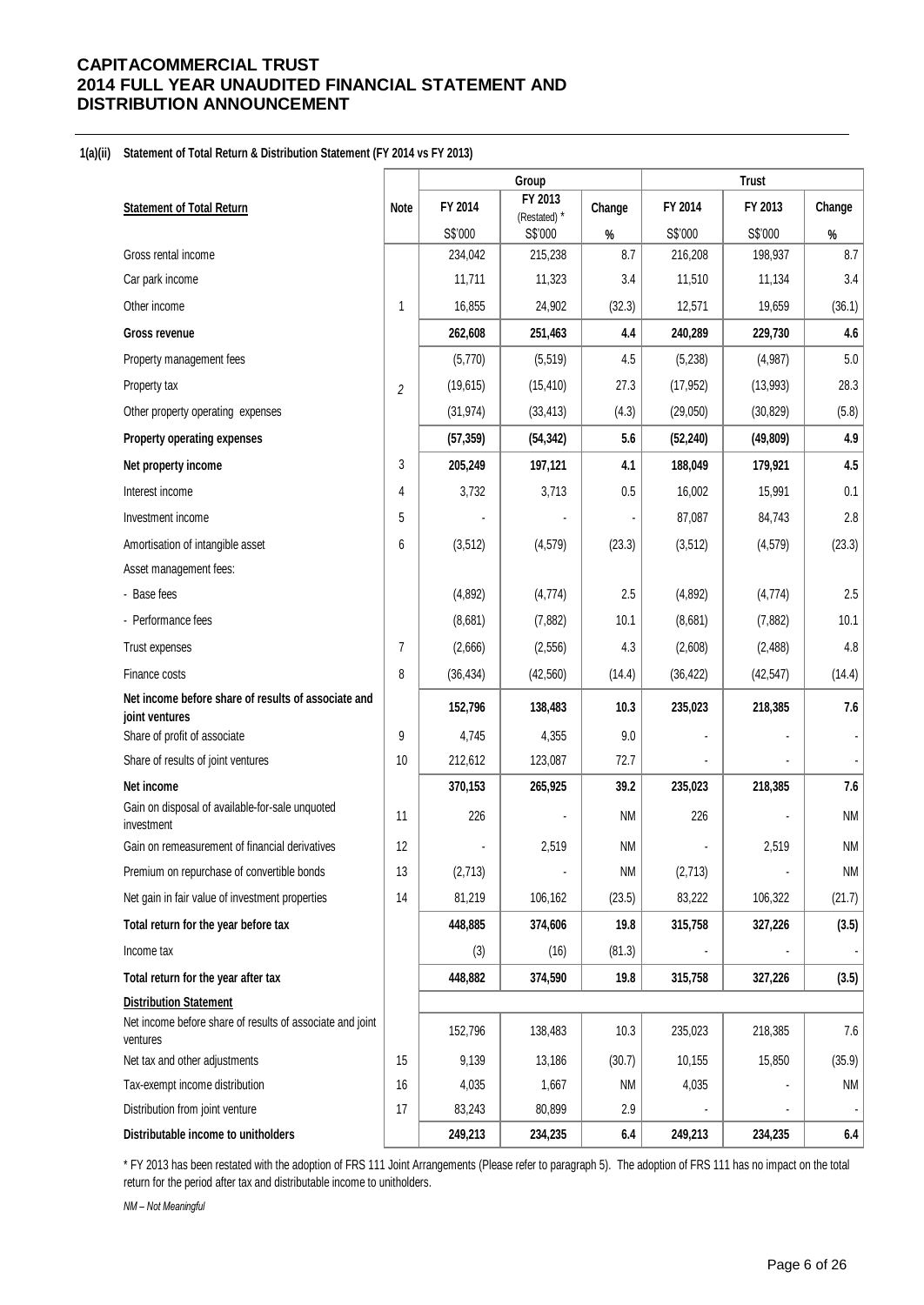#### **1(a)(ii) Statement of Total Return & Distribution Statement (FY 2014 vs FY 2013)**

|                                                                                                        |                |           | Group                   |           |           | <b>Trust</b> |           |
|--------------------------------------------------------------------------------------------------------|----------------|-----------|-------------------------|-----------|-----------|--------------|-----------|
| <b>Statement of Total Return</b>                                                                       | <b>Note</b>    | FY 2014   | FY 2013<br>(Restated) * | Change    | FY 2014   | FY 2013      | Change    |
|                                                                                                        |                | S\$'000   | S\$'000                 | $\%$      | S\$'000   | S\$'000      | $\%$      |
| Gross rental income                                                                                    |                | 234,042   | 215,238                 | 8.7       | 216,208   | 198,937      | 8.7       |
| Car park income                                                                                        |                | 11,711    | 11,323                  | 3.4       | 11,510    | 11,134       | 3.4       |
| Other income                                                                                           | 1              | 16,855    | 24,902                  | (32.3)    | 12,571    | 19,659       | (36.1)    |
| <b>Gross revenue</b>                                                                                   |                | 262,608   | 251,463                 | 4.4       | 240,289   | 229,730      | 4.6       |
| Property management fees                                                                               |                | (5,770)   | (5, 519)                | 4.5       | (5,238)   | (4,987)      | 5.0       |
| Property tax                                                                                           | $\overline{c}$ | (19, 615) | (15, 410)               | 27.3      | (17, 952) | (13,993)     | 28.3      |
| Other property operating expenses                                                                      |                | (31, 974) | (33, 413)               | (4.3)     | (29,050)  | (30, 829)    | (5.8)     |
| Property operating expenses                                                                            |                | (57, 359) | (54, 342)               | 5.6       | (52, 240) | (49, 809)    | 4.9       |
| Net property income                                                                                    | 3              | 205,249   | 197,121                 | 4.1       | 188,049   | 179,921      | 4.5       |
| Interest income                                                                                        | 4              | 3,732     | 3,713                   | 0.5       | 16,002    | 15,991       | 0.1       |
| Investment income                                                                                      | 5              |           |                         |           | 87,087    | 84,743       | 2.8       |
| Amortisation of intangible asset                                                                       | 6              | (3, 512)  | (4, 579)                | (23.3)    | (3, 512)  | (4, 579)     | (23.3)    |
| Asset management fees:                                                                                 |                |           |                         |           |           |              |           |
| - Base fees                                                                                            |                | (4,892)   | (4, 774)                | 2.5       | (4,892)   | (4, 774)     | 2.5       |
| - Performance fees                                                                                     |                | (8,681)   | (7,882)                 | 10.1      | (8,681)   | (7, 882)     | 10.1      |
| Trust expenses                                                                                         | $\overline{7}$ | (2,666)   | (2, 556)                | 4.3       | (2,608)   | (2, 488)     | 4.8       |
| Finance costs                                                                                          | 8              | (36, 434) | (42, 560)               | (14.4)    | (36, 422) | (42, 547)    | (14.4)    |
| Net income before share of results of associate and<br>joint ventures                                  |                | 152,796   | 138,483                 | 10.3      | 235,023   | 218,385      | 7.6       |
| Share of profit of associate                                                                           | 9              | 4,745     | 4,355                   | 9.0       | ä,        |              |           |
| Share of results of joint ventures                                                                     | 10             | 212,612   | 123,087                 | 72.7      |           |              |           |
| Net income                                                                                             |                | 370,153   | 265,925                 | 39.2      | 235,023   | 218,385      | 7.6       |
| Gain on disposal of available-for-sale unquoted<br>investment                                          | 11             | 226       |                         | <b>NM</b> | 226       |              | <b>NM</b> |
| Gain on remeasurement of financial derivatives                                                         | 12             |           | 2,519                   | <b>NM</b> |           | 2,519        | <b>NM</b> |
| Premium on repurchase of convertible bonds                                                             | 13             | (2,713)   |                         | <b>NM</b> | (2,713)   |              | <b>NM</b> |
| Net gain in fair value of investment properties                                                        | 14             | 81,219    | 106,162                 | (23.5)    | 83,222    | 106,322      | (21.7)    |
| Total return for the year before tax                                                                   |                | 448,885   | 374,606                 | 19.8      | 315,758   | 327,226      | (3.5)     |
| Income tax                                                                                             |                | (3)       | (16)                    | (81.3)    |           |              |           |
| Total return for the year after tax                                                                    |                | 448,882   | 374,590                 | 19.8      | 315,758   | 327,226      | (3.5)     |
| <b>Distribution Statement</b><br>Net income before share of results of associate and joint<br>ventures |                | 152,796   | 138,483                 | 10.3      | 235,023   | 218,385      | $7.6\,$   |
| Net tax and other adjustments                                                                          | 15             | 9,139     | 13,186                  | (30.7)    | 10,155    | 15,850       | (35.9)    |
| Tax-exempt income distribution                                                                         | 16             | 4,035     | 1,667                   | <b>NM</b> | 4,035     |              | NM        |
| Distribution from joint venture                                                                        | 17             | 83,243    | 80,899                  | 2.9       |           |              |           |
| Distributable income to unitholders                                                                    |                | 249,213   | 234,235                 | 6.4       | 249,213   | 234,235      | 6.4       |

\* FY 2013 has been restated with the adoption of FRS 111 Joint Arrangements (Please refer to paragraph 5). The adoption of FRS 111 has no impact on the total return for the period after tax and distributable income to unitholders.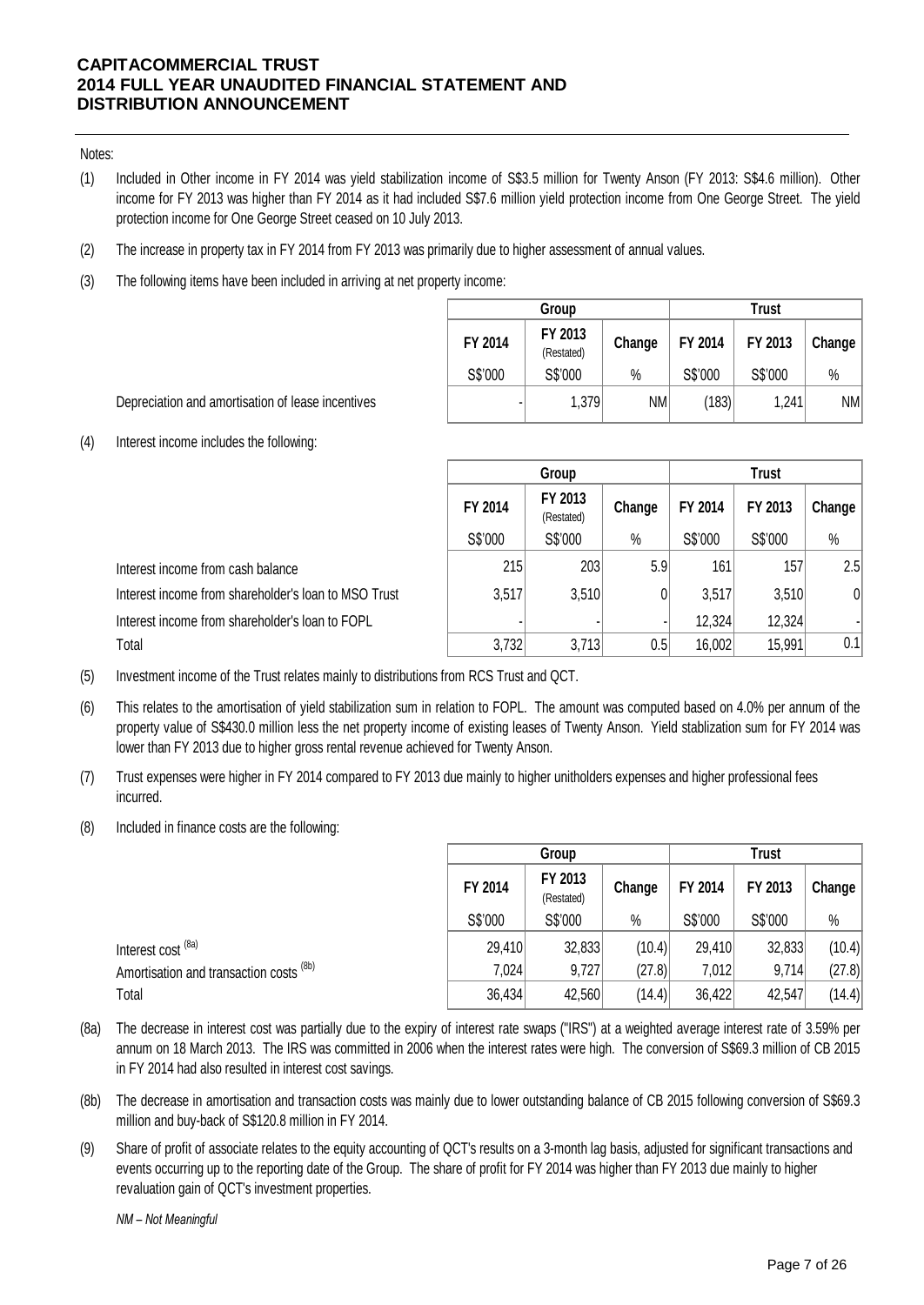### Notes:

- (1) Included in Other income in FY 2014 was yield stabilization income of S\$3.5 million for Twenty Anson (FY 2013: S\$4.6 million). Other income for FY 2013 was higher than FY 2014 as it had included S\$7.6 million yield protection income from One George Street. The yield protection income for One George Street ceased on 10 July 2013.
- (2) The increase in property tax in FY 2014 from FY 2013 was primarily due to higher assessment of annual values.
- (3) The following items have been included in arriving at net property income:

|         | Group                 | Trust  |         |         |        |  |
|---------|-----------------------|--------|---------|---------|--------|--|
| FY 2014 | FY 2013<br>(Restated) | Change | FY 2014 | FY 2013 | Change |  |
| S\$'000 | S\$'000               | %      | S\$'000 | S\$'000 | $\%$   |  |
|         | 1,379                 | NM     | (183)   | 1,241   | NM     |  |

Depreciation and amortisation of lease incentives

(4) Interest income includes the following:

|                                                      |         | Group                 |        |         | <b>Trust</b> |        |  |
|------------------------------------------------------|---------|-----------------------|--------|---------|--------------|--------|--|
|                                                      | FY 2014 | FY 2013<br>(Restated) | Change | FY 2014 | FY 2013      | Change |  |
|                                                      | S\$'000 | S\$'000               | $\%$   | S\$'000 | S\$'000      | $\%$   |  |
| Interest income from cash balance                    | 215     | 203                   | 5.9    | 161     | 157          | 2.5    |  |
| Interest income from shareholder's loan to MSO Trust | 3,517   | 3,510                 | 0      | 3,517   | 3,510        | 0      |  |
| Interest income from shareholder's loan to FOPL      |         |                       |        | 12,324  | 12,324       |        |  |
| Total                                                | 3,732   | 3,713                 | 0.5    | 16,002  | 15,991       | 0.1    |  |

(5) Investment income of the Trust relates mainly to distributions from RCS Trust and QCT.

- (6) This relates to the amortisation of yield stabilization sum in relation to FOPL. The amount was computed based on 4.0% per annum of the property value of S\$430.0 million less the net property income of existing leases of Twenty Anson. Yield stablization sum for FY 2014 was lower than FY 2013 due to higher gross rental revenue achieved for Twenty Anson.
- (7) Trust expenses were higher in FY 2014 compared to FY 2013 due mainly to higher unitholders expenses and higher professional fees incurred.
- (8) Included in finance costs are the following:

|                                                    | Group   |                       |        | <b>Trust</b> |         |        |
|----------------------------------------------------|---------|-----------------------|--------|--------------|---------|--------|
|                                                    | FY 2014 | FY 2013<br>(Restated) | Change | FY 2014      | FY 2013 | Change |
|                                                    | S\$'000 | S\$'000               | $\%$   | S\$'000      | S\$'000 | $\%$   |
| Interest cost <sup>(8a)</sup>                      | 29,410  | 32,833                | (10.4) | 29,410       | 32,833  | (10.4) |
| Amortisation and transaction costs <sup>(8b)</sup> | 7,024   | 9,727                 | (27.8) | 7,012        | 9,714   | (27.8) |
| Total                                              | 36,434  | 42,560                | (14.4) | 36,422       | 42,547  | (14.4) |

- (8a) The decrease in interest cost was partially due to the expiry of interest rate swaps ("IRS") at a weighted average interest rate of 3.59% per annum on 18 March 2013. The IRS was committed in 2006 when the interest rates were high. The conversion of S\$69.3 million of CB 2015 in FY 2014 had also resulted in interest cost savings.
- (8b) The decrease in amortisation and transaction costs was mainly due to lower outstanding balance of CB 2015 following conversion of S\$69.3 million and buy-back of S\$120.8 million in FY 2014.
- (9) Share of profit of associate relates to the equity accounting of QCT's results on a 3-month lag basis, adjusted for significant transactions and events occurring up to the reporting date of the Group. The share of profit for FY 2014 was higher than FY 2013 due mainly to higher revaluation gain of QCT's investment properties.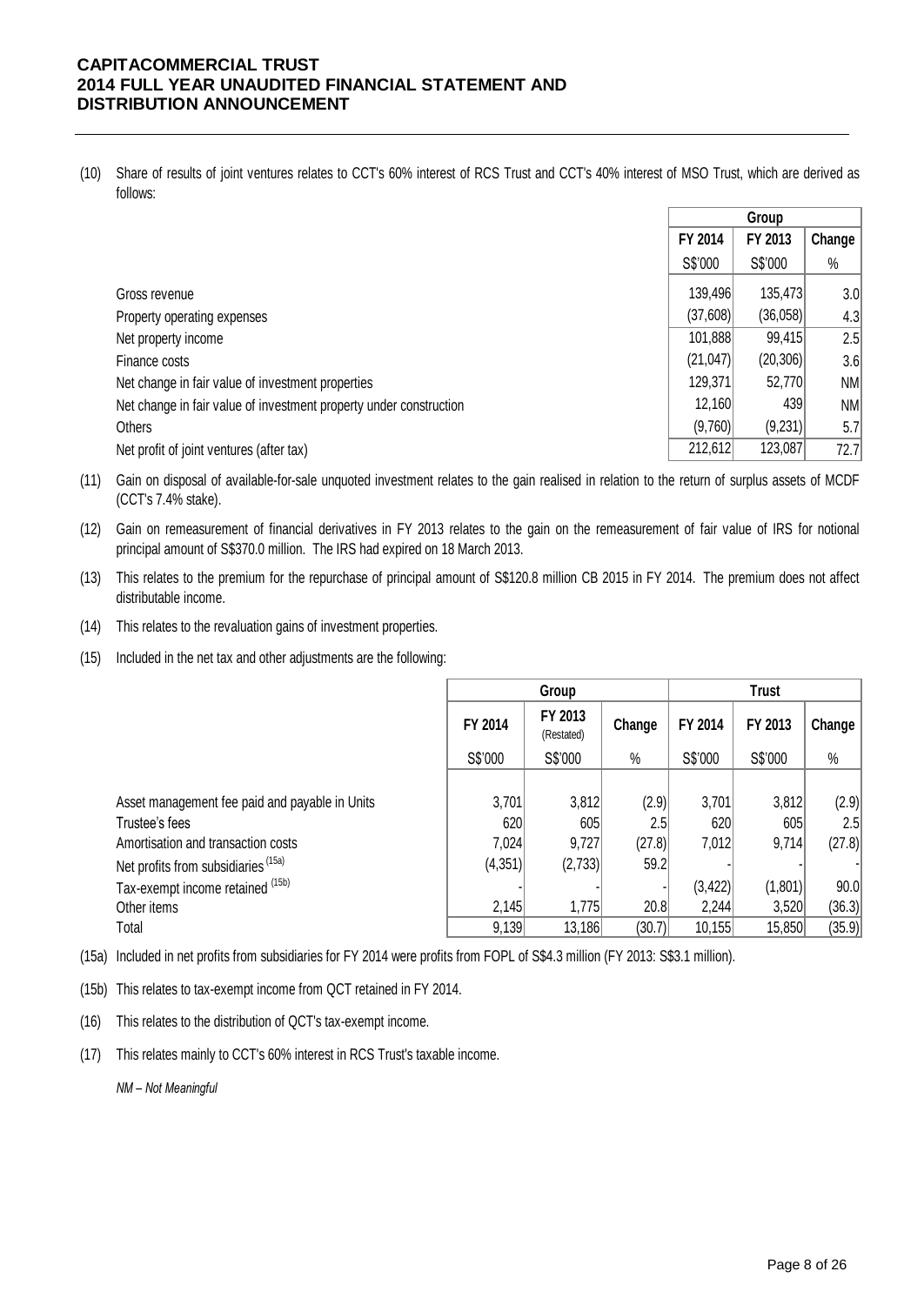(10) Share of results of joint ventures relates to CCT's 60% interest of RCS Trust and CCT's 40% interest of MSO Trust, which are derived as follows:

|                                                                    | Group     |           |        |
|--------------------------------------------------------------------|-----------|-----------|--------|
|                                                                    | FY 2014   | FY 2013   | Change |
|                                                                    | S\$'000   | S\$'000   | $\%$   |
| Gross revenue                                                      | 139,496   | 135,473   | 3.0    |
| Property operating expenses                                        | (37,608)  | (36,058)  | 4.3    |
| Net property income                                                | 101,888   | 99,415    | 2.5    |
| Finance costs                                                      | (21, 047) | (20, 306) | 3.6    |
| Net change in fair value of investment properties                  | 129,371   | 52,770    | NM     |
| Net change in fair value of investment property under construction | 12,160    | 439       | NM     |
| Others                                                             | (9,760)   | (9,231)   | 5.7    |
| Net profit of joint ventures (after tax)                           | 212,612   | 123,087   | 72.7   |

(11) Gain on disposal of available-for-sale unquoted investment relates to the gain realised in relation to the return of surplus assets of MCDF (CCT's 7.4% stake).

- (12) Gain on remeasurement of financial derivatives in FY 2013 relates to the gain on the remeasurement of fair value of IRS for notional principal amount of S\$370.0 million. The IRS had expired on 18 March 2013.
- (13) This relates to the premium for the repurchase of principal amount of S\$120.8 million CB 2015 in FY 2014. The premium does not affect distributable income.
- (14) This relates to the revaluation gains of investment properties.
- (15) Included in the net tax and other adjustments are the following:

|                                                |         | Group                 |        | <b>Trust</b> |         |        |  |
|------------------------------------------------|---------|-----------------------|--------|--------------|---------|--------|--|
|                                                | FY 2014 | FY 2013<br>(Restated) | Change | FY 2014      | FY 2013 | Change |  |
|                                                | S\$'000 | S\$'000               | $\%$   | S\$'000      | S\$'000 | $\%$   |  |
|                                                |         |                       |        |              |         |        |  |
| Asset management fee paid and payable in Units | 3,701   | 3,812                 | (2.9)  | 3,701        | 3,812   | (2.9)  |  |
| Trustee's fees                                 | 620     | 605                   | 2.5    | 620          | 605     | 2.5    |  |
| Amortisation and transaction costs             | 7,024   | 9,727                 | (27.8) | 7,012        | 9,714   | (27.8) |  |
| Net profits from subsidiaries (15a)            | (4,351) | (2,733)               | 59.2   |              |         |        |  |
| Tax-exempt income retained (15b)               |         |                       |        | (3, 422)     | (1,801) | 90.0   |  |
| Other items                                    | 2,145   | 1,775                 | 20.8   | 2,244        | 3,520   | (36.3) |  |
| Total                                          | 9,139   | 13,186                | (30.7) | 10, 155      | 15,850  | (35.9) |  |

(15a) Included in net profits from subsidiaries for FY 2014 were profits from FOPL of S\$4.3 million (FY 2013: S\$3.1 million).

(15b) This relates to tax-exempt income from QCT retained in FY 2014.

- (16) This relates to the distribution of QCT's tax-exempt income.
- (17) This relates mainly to CCT's 60% interest in RCS Trust's taxable income.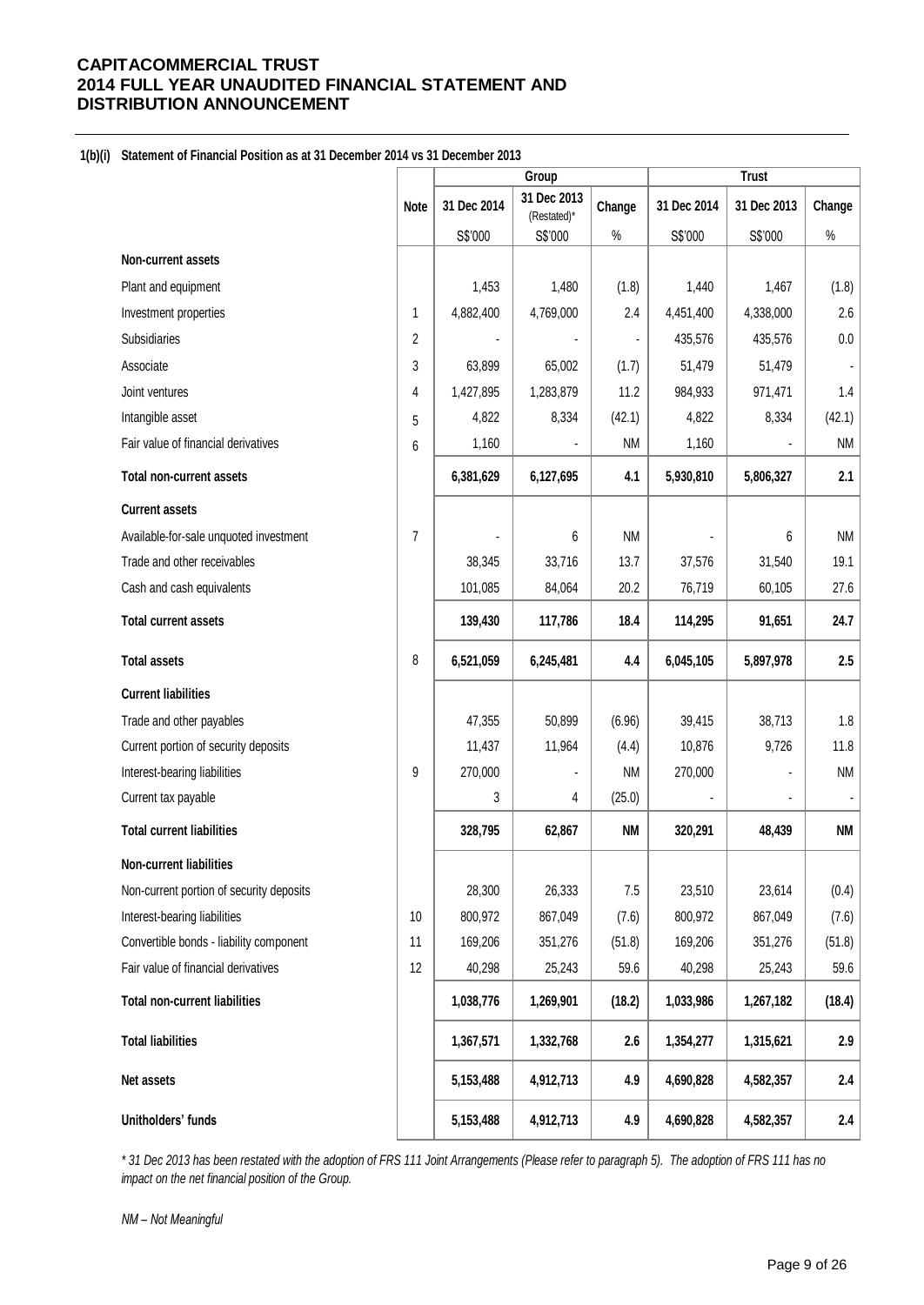### **1(b)(i) Statement of Financial Position as at 31 December 2014 vs 31 December 2013**

|                                          |             | Group       |                            |           | <b>Trust</b> |             |                              |
|------------------------------------------|-------------|-------------|----------------------------|-----------|--------------|-------------|------------------------------|
|                                          | <b>Note</b> | 31 Dec 2014 | 31 Dec 2013<br>(Restated)* | Change    | 31 Dec 2014  | 31 Dec 2013 | Change                       |
|                                          |             | S\$'000     | S\$'000                    | $\%$      | S\$'000      | S\$'000     | $\%$                         |
| Non-current assets                       |             |             |                            |           |              |             |                              |
| Plant and equipment                      |             | 1,453       | 1,480                      | (1.8)     | 1,440        | 1,467       | (1.8)                        |
| Investment properties                    | 1           | 4,882,400   | 4,769,000                  | 2.4       | 4,451,400    | 4,338,000   | 2.6                          |
| <b>Subsidiaries</b>                      | 2           |             |                            |           | 435,576      | 435,576     | 0.0                          |
| Associate                                | 3           | 63,899      | 65,002                     | (1.7)     | 51,479       | 51,479      |                              |
| Joint ventures                           | 4           | 1,427,895   | 1,283,879                  | 11.2      | 984,933      | 971,471     | 1.4                          |
| Intangible asset                         | 5           | 4,822       | 8,334                      | (42.1)    | 4,822        | 8,334       | (42.1)                       |
| Fair value of financial derivatives      | 6           | 1,160       |                            | NM        | 1,160        |             | <b>NM</b>                    |
| <b>Total non-current assets</b>          |             | 6,381,629   | 6,127,695                  | 4.1       | 5,930,810    | 5,806,327   | 2.1                          |
| <b>Current assets</b>                    |             |             |                            |           |              |             |                              |
| Available-for-sale unquoted investment   | 7           |             | 6                          | <b>NM</b> |              | 6           | <b>NM</b>                    |
| Trade and other receivables              |             | 38,345      | 33,716                     | 13.7      | 37,576       | 31,540      | 19.1                         |
| Cash and cash equivalents                |             | 101,085     | 84,064                     | 20.2      | 76,719       | 60,105      | 27.6                         |
| <b>Total current assets</b>              |             | 139,430     | 117,786                    | 18.4      | 114,295      | 91,651      | 24.7                         |
| <b>Total assets</b>                      | 8           | 6,521,059   | 6,245,481                  | 4.4       | 6,045,105    | 5,897,978   | 2.5                          |
| <b>Current liabilities</b>               |             |             |                            |           |              |             |                              |
| Trade and other payables                 |             | 47,355      | 50,899                     | (6.96)    | 39,415       | 38,713      | 1.8                          |
| Current portion of security deposits     |             | 11,437      | 11,964                     | (4.4)     | 10,876       | 9,726       | 11.8                         |
| Interest-bearing liabilities             | 9           | 270,000     |                            | <b>NM</b> | 270,000      |             | <b>NM</b>                    |
| Current tax payable                      |             | 3           | 4                          | (25.0)    |              |             | $\qquad \qquad \blacksquare$ |
| <b>Total current liabilities</b>         |             | 328,795     | 62,867                     | <b>NM</b> | 320,291      | 48,439      | <b>NM</b>                    |
| Non-current liabilities                  |             |             |                            |           |              |             |                              |
| Non-current portion of security deposits |             | 28,300      | 26,333                     | 7.5       | 23,510       | 23,614      | (0.4)                        |
| Interest-bearing liabilities             | 10          | 800,972     | 867,049                    | (7.6)     | 800,972      | 867,049     | (7.6)                        |
| Convertible bonds - liability component  | 11          | 169,206     | 351,276                    | (51.8)    | 169,206      | 351,276     | (51.8)                       |
| Fair value of financial derivatives      | 12          | 40,298      | 25,243                     | 59.6      | 40,298       | 25,243      | 59.6                         |
| <b>Total non-current liabilities</b>     |             | 1,038,776   | 1,269,901                  | (18.2)    | 1,033,986    | 1,267,182   | (18.4)                       |
| <b>Total liabilities</b>                 |             | 1,367,571   | 1,332,768                  | 2.6       | 1,354,277    | 1,315,621   | 2.9                          |
| Net assets                               |             | 5,153,488   | 4,912,713                  | 4.9       | 4,690,828    | 4,582,357   | 2.4                          |
| Unitholders' funds                       |             | 5,153,488   | 4,912,713                  | 4.9       | 4,690,828    | 4,582,357   | 2.4                          |

*\* 31 Dec 2013 has been restated with the adoption of FRS 111 Joint Arrangements (Please refer to paragraph 5). The adoption of FRS 111 has no impact on the net financial position of the Group.*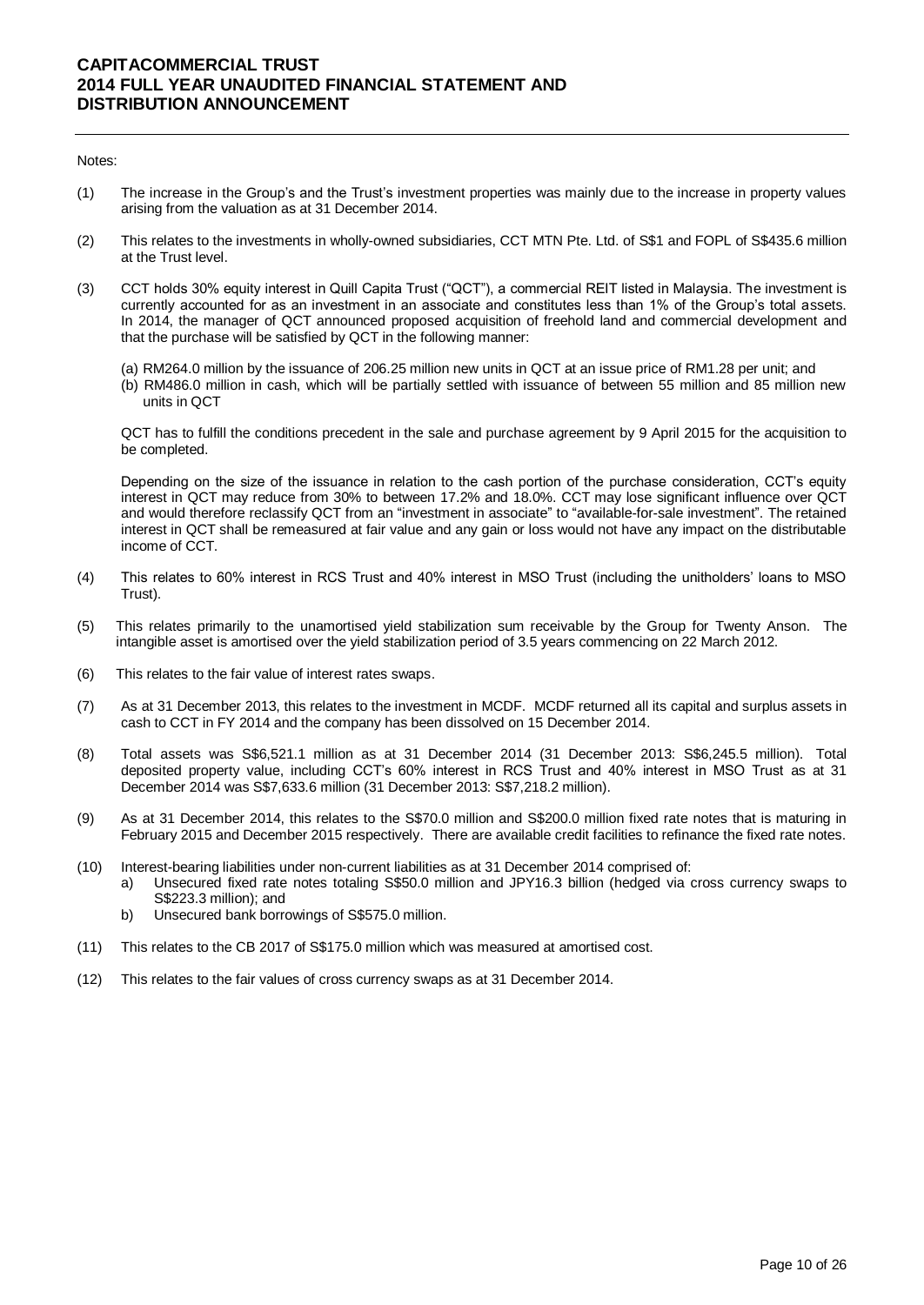#### Notes:

- (1) The increase in the Group's and the Trust's investment properties was mainly due to the increase in property values arising from the valuation as at 31 December 2014.
- (2) This relates to the investments in wholly-owned subsidiaries, CCT MTN Pte. Ltd. of S\$1 and FOPL of S\$435.6 million at the Trust level.
- (3) CCT holds 30% equity interest in Quill Capita Trust ("QCT"), a commercial REIT listed in Malaysia. The investment is currently accounted for as an investment in an associate and constitutes less than 1% of the Group's total assets. In 2014, the manager of QCT announced proposed acquisition of freehold land and commercial development and that the purchase will be satisfied by QCT in the following manner:
	- (a) RM264.0 million by the issuance of 206.25 million new units in QCT at an issue price of RM1.28 per unit; and
	- (b) RM486.0 million in cash, which will be partially settled with issuance of between 55 million and 85 million new units in QCT

QCT has to fulfill the conditions precedent in the sale and purchase agreement by 9 April 2015 for the acquisition to be completed.

Depending on the size of the issuance in relation to the cash portion of the purchase consideration, CCT's equity interest in QCT may reduce from 30% to between 17.2% and 18.0%. CCT may lose significant influence over QCT and would therefore reclassify QCT from an "investment in associate" to "available-for-sale investment". The retained interest in QCT shall be remeasured at fair value and any gain or loss would not have any impact on the distributable income of CCT.

- (4) This relates to 60% interest in RCS Trust and 40% interest in MSO Trust (including the unitholders' loans to MSO Trust).
- (5) This relates primarily to the unamortised yield stabilization sum receivable by the Group for Twenty Anson. The intangible asset is amortised over the yield stabilization period of 3.5 years commencing on 22 March 2012.
- (6) This relates to the fair value of interest rates swaps.
- (7) As at 31 December 2013, this relates to the investment in MCDF. MCDF returned all its capital and surplus assets in cash to CCT in FY 2014 and the company has been dissolved on 15 December 2014.
- (8) Total assets was S\$6,521.1 million as at 31 December 2014 (31 December 2013: S\$6,245.5 million). Total deposited property value, including CCT's 60% interest in RCS Trust and 40% interest in MSO Trust as at 31 December 2014 was S\$7,633.6 million (31 December 2013: S\$7,218.2 million).
- (9) As at 31 December 2014, this relates to the S\$70.0 million and S\$200.0 million fixed rate notes that is maturing in February 2015 and December 2015 respectively. There are available credit facilities to refinance the fixed rate notes.
- (10) Interest-bearing liabilities under non-current liabilities as at 31 December 2014 comprised of:
	- a) Unsecured fixed rate notes totaling S\$50.0 million and JPY16.3 billion (hedged via cross currency swaps to S\$223.3 million); and
		- b) Unsecured bank borrowings of S\$575.0 million.
- (11) This relates to the CB 2017 of S\$175.0 million which was measured at amortised cost.
- (12) This relates to the fair values of cross currency swaps as at 31 December 2014.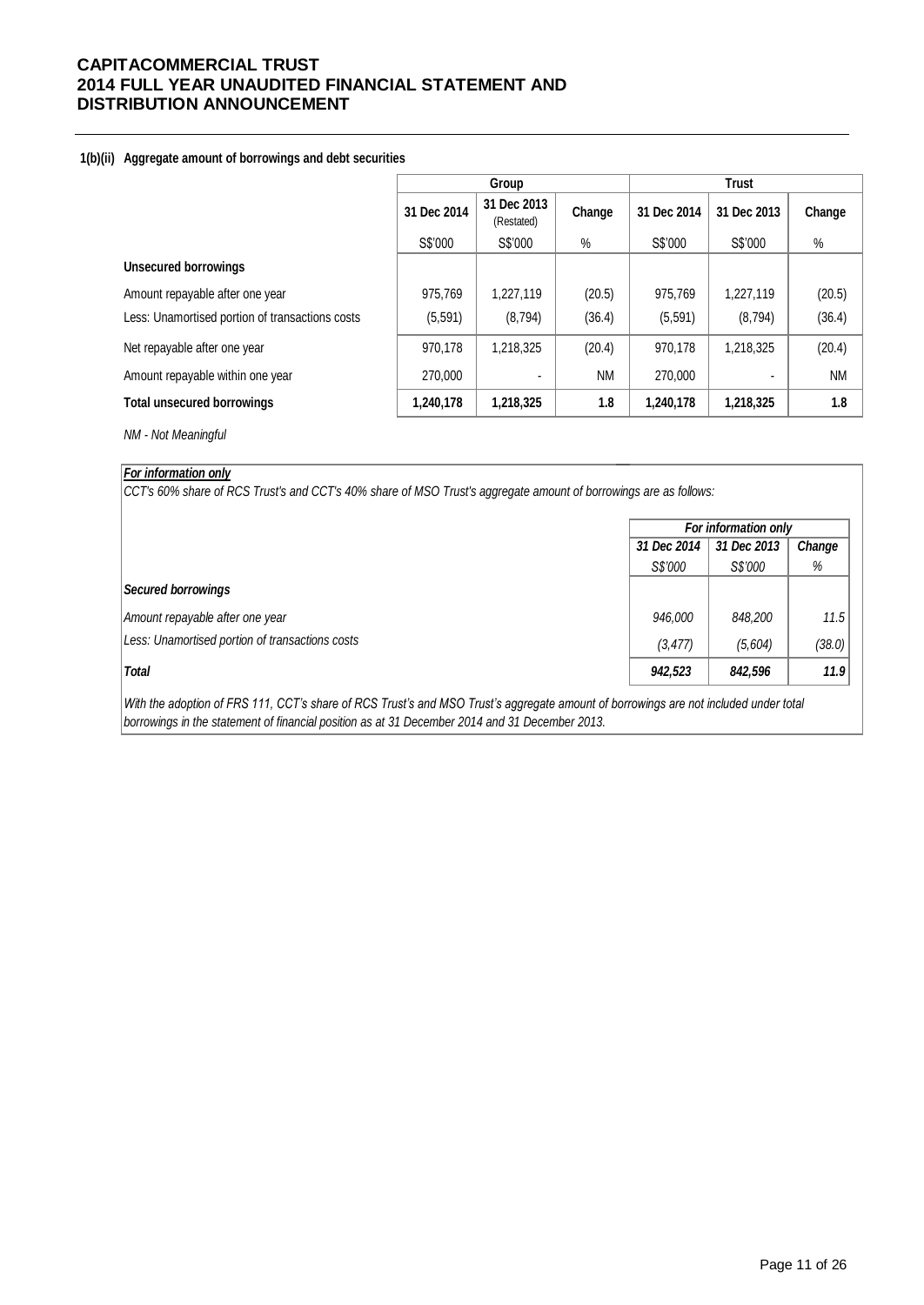### **1(b)(ii) Aggregate amount of borrowings and debt securities**

|                                                 | Group       |                           |           | <b>Trust</b> |             |           |  |
|-------------------------------------------------|-------------|---------------------------|-----------|--------------|-------------|-----------|--|
|                                                 | 31 Dec 2014 | 31 Dec 2013<br>(Restated) | Change    | 31 Dec 2014  | 31 Dec 2013 | Change    |  |
|                                                 | S\$'000     | S\$'000                   | $\%$      | S\$'000      | S\$'000     | $\%$      |  |
| <b>Unsecured borrowings</b>                     |             |                           |           |              |             |           |  |
| Amount repayable after one year                 | 975.769     | 1,227,119                 | (20.5)    | 975,769      | 1,227,119   | (20.5)    |  |
| Less: Unamortised portion of transactions costs | (5, 591)    | (8,794)                   | (36.4)    | (5, 591)     | (8, 794)    | (36.4)    |  |
| Net repayable after one year                    | 970,178     | 1,218,325                 | (20.4)    | 970,178      | 1,218,325   | (20.4)    |  |
| Amount repayable within one year                | 270,000     | ٠                         | <b>NM</b> | 270,000      |             | <b>NM</b> |  |
| <b>Total unsecured borrowings</b>               | 1,240,178   | 1,218,325                 | 1.8       | 1,240,178    | 1,218,325   | 1.8       |  |

*NM - Not Meaningful*

### *For information only*

*CCT's 60% share of RCS Trust's and CCT's 40% share of MSO Trust's aggregate amount of borrowings are as follows:*

|                                                 | For information only |         |        |  |  |
|-------------------------------------------------|----------------------|---------|--------|--|--|
|                                                 | 31 Dec 2014          | Change  |        |  |  |
|                                                 | S\$'000              | S\$'000 | %      |  |  |
| <b>Secured borrowings</b>                       |                      |         |        |  |  |
| Amount repayable after one year                 | 946,000              | 848,200 | 11.5   |  |  |
| Less: Unamortised portion of transactions costs | (3, 477)             | (5,604) | (38.0) |  |  |
| <b>Total</b>                                    | 942,523              | 842,596 | 11.9   |  |  |

*With the adoption of FRS 111, CCT's share of RCS Trust's and MSO Trust's aggregate amount of borrowings are not included under total borrowings in the statement of financial position as at 31 December 2014 and 31 December 2013.*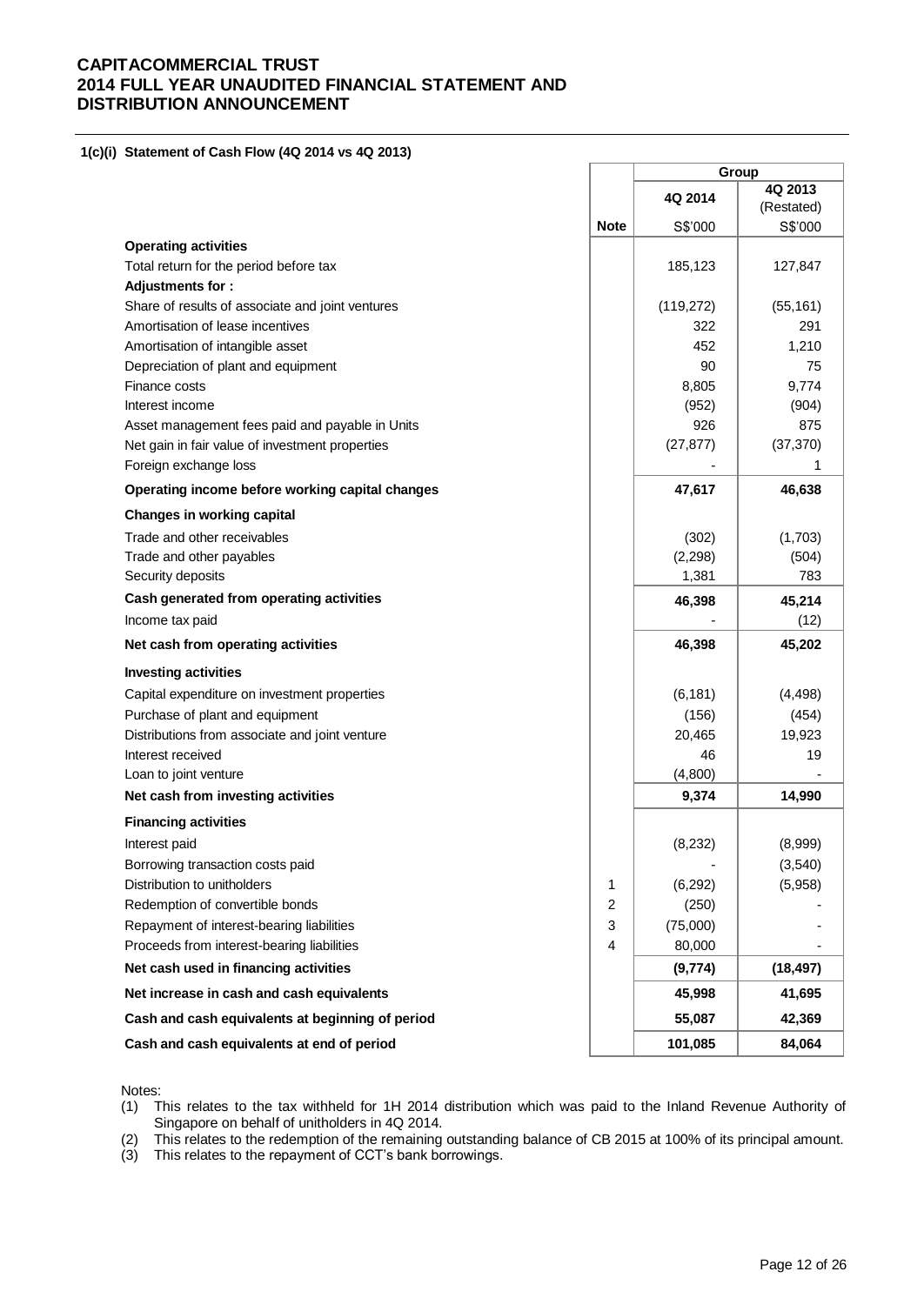**1(c)(i) Statement of Cash Flow (4Q 2014 vs 4Q 2013)** 

|                                                  |                | Group     |                       |
|--------------------------------------------------|----------------|-----------|-----------------------|
|                                                  |                | 4Q 2014   | 4Q 2013<br>(Restated) |
|                                                  | <b>Note</b>    | S\$'000   | S\$'000               |
| <b>Operating activities</b>                      |                |           |                       |
| Total return for the period before tax           |                | 185,123   | 127,847               |
| Adjustments for:                                 |                |           |                       |
| Share of results of associate and joint ventures |                | (119,272) | (55, 161)             |
| Amortisation of lease incentives                 |                | 322       | 291                   |
| Amortisation of intangible asset                 |                | 452       | 1.210                 |
| Depreciation of plant and equipment              |                | 90        | 75                    |
| Finance costs                                    |                | 8,805     | 9,774                 |
| Interest income                                  |                | (952)     | (904)                 |
| Asset management fees paid and payable in Units  |                | 926       | 875                   |
| Net gain in fair value of investment properties  |                | (27, 877) | (37, 370)             |
| Foreign exchange loss                            |                |           | 1                     |
| Operating income before working capital changes  |                | 47,617    | 46,638                |
| <b>Changes in working capital</b>                |                |           |                       |
| Trade and other receivables                      |                | (302)     | (1,703)               |
| Trade and other payables                         |                | (2, 298)  | (504)                 |
| Security deposits                                |                | 1,381     | 783                   |
| Cash generated from operating activities         |                | 46,398    | 45,214                |
| Income tax paid                                  |                |           | (12)                  |
| Net cash from operating activities               |                | 46,398    | 45,202                |
| <b>Investing activities</b>                      |                |           |                       |
| Capital expenditure on investment properties     |                | (6, 181)  | (4, 498)              |
| Purchase of plant and equipment                  |                | (156)     | (454)                 |
| Distributions from associate and joint venture   |                | 20,465    | 19,923                |
| Interest received                                |                | 46        | 19                    |
| Loan to joint venture                            |                | (4,800)   |                       |
| Net cash from investing activities               |                | 9,374     | 14,990                |
| <b>Financing activities</b>                      |                |           |                       |
| Interest paid                                    |                | (8, 232)  | (8,999)               |
| Borrowing transaction costs paid                 |                |           | (3,540)               |
| Distribution to unitholders                      | 1              | (6, 292)  | (5,958)               |
| Redemption of convertible bonds                  | $\overline{2}$ | (250)     |                       |
| Repayment of interest-bearing liabilities        | 3              | (75,000)  |                       |
| Proceeds from interest-bearing liabilities       | $\overline{4}$ | 80,000    |                       |
| Net cash used in financing activities            |                | (9, 774)  | (18, 497)             |
| Net increase in cash and cash equivalents        |                | 45,998    | 41,695                |
| Cash and cash equivalents at beginning of period |                | 55,087    | 42,369                |
| Cash and cash equivalents at end of period       |                | 101,085   | 84,064                |

Notes:

(1) This relates to the tax withheld for 1H 2014 distribution which was paid to the Inland Revenue Authority of Singapore on behalf of unitholders in 4Q 2014.

(2) This relates to the redemption of the remaining outstanding balance of CB 2015 at 100% of its principal amount.

(3) This relates to the repayment of CCT's bank borrowings.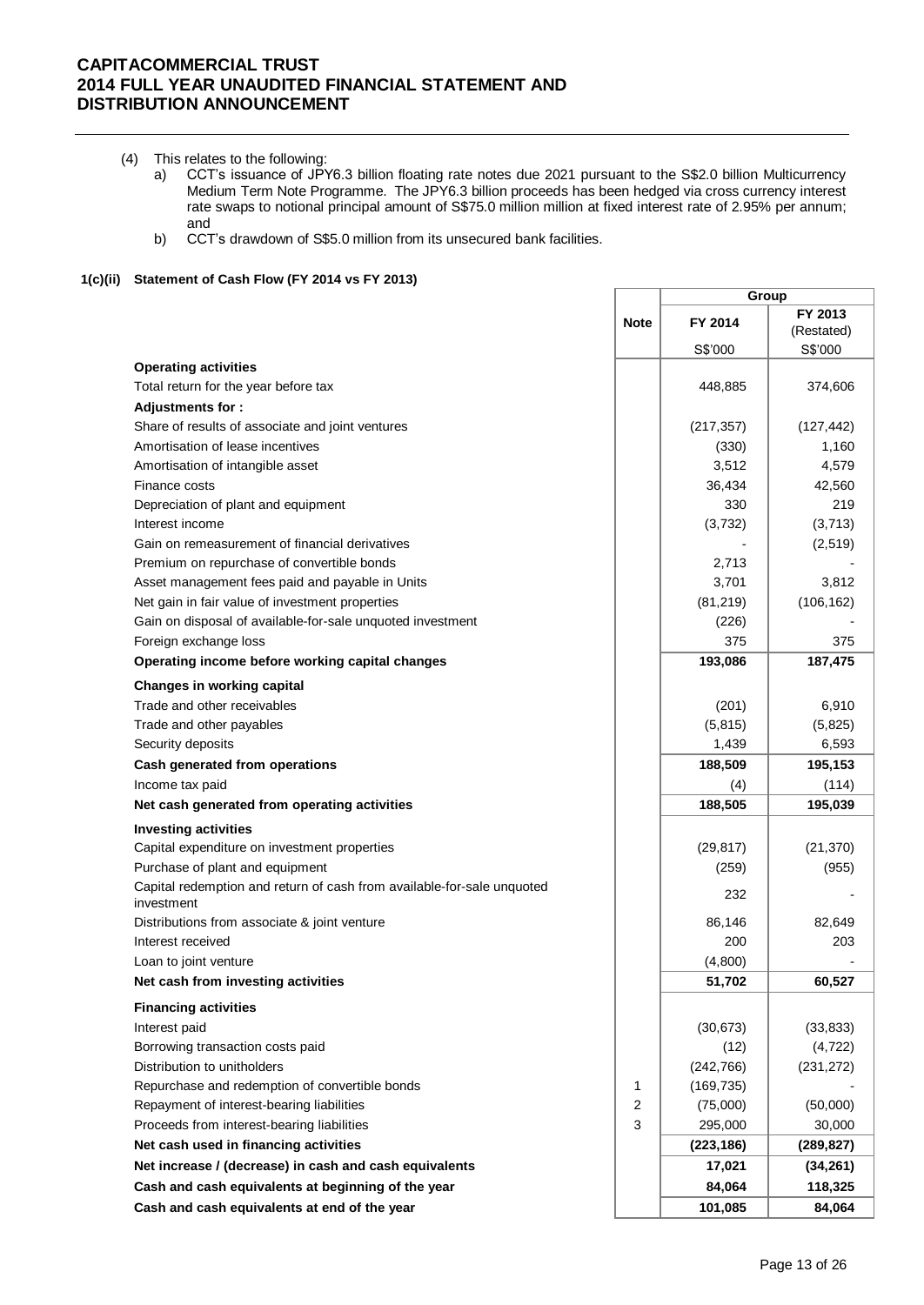- (4) This relates to the following:
	- a) CCT's issuance of JPY6.3 billion floating rate notes due 2021 pursuant to the S\$2.0 billion Multicurrency Medium Term Note Programme. The JPY6.3 billion proceeds has been hedged via cross currency interest rate swaps to notional principal amount of S\$75.0 million million at fixed interest rate of 2.95% per annum; and
	- b) CCT's drawdown of S\$5.0 million from its unsecured bank facilities.

#### **1(c)(ii) Statement of Cash Flow (FY 2014 vs FY 2013)**

|                                                                                      |             | Group      |            |
|--------------------------------------------------------------------------------------|-------------|------------|------------|
|                                                                                      | <b>Note</b> | FY 2014    | FY 2013    |
|                                                                                      |             |            | (Restated) |
|                                                                                      |             | S\$'000    | S\$'000    |
| <b>Operating activities</b>                                                          |             |            |            |
| Total return for the year before tax                                                 |             | 448,885    | 374,606    |
| Adjustments for:                                                                     |             |            |            |
| Share of results of associate and joint ventures                                     |             | (217, 357) | (127, 442) |
| Amortisation of lease incentives                                                     |             | (330)      | 1,160      |
| Amortisation of intangible asset                                                     |             | 3,512      | 4,579      |
| Finance costs                                                                        |             | 36,434     | 42,560     |
| Depreciation of plant and equipment                                                  |             | 330        | 219        |
| Interest income                                                                      |             | (3,732)    | (3,713)    |
| Gain on remeasurement of financial derivatives                                       |             |            | (2,519)    |
| Premium on repurchase of convertible bonds                                           |             | 2,713      |            |
| Asset management fees paid and payable in Units                                      |             | 3,701      | 3,812      |
| Net gain in fair value of investment properties                                      |             | (81, 219)  | (106, 162) |
| Gain on disposal of available-for-sale unquoted investment                           |             | (226)      |            |
| Foreign exchange loss                                                                |             | 375        | 375        |
| Operating income before working capital changes                                      |             | 193,086    | 187,475    |
| <b>Changes in working capital</b>                                                    |             |            |            |
| Trade and other receivables                                                          |             | (201)      | 6,910      |
| Trade and other payables                                                             |             | (5, 815)   | (5,825)    |
| Security deposits                                                                    |             | 1,439      | 6,593      |
| Cash generated from operations                                                       |             | 188,509    | 195,153    |
| Income tax paid                                                                      |             | (4)        | (114)      |
| Net cash generated from operating activities                                         |             | 188,505    | 195,039    |
| <b>Investing activities</b>                                                          |             |            |            |
| Capital expenditure on investment properties                                         |             | (29, 817)  | (21, 370)  |
| Purchase of plant and equipment                                                      |             | (259)      | (955)      |
| Capital redemption and return of cash from available-for-sale unquoted<br>investment |             | 232        |            |
| Distributions from associate & joint venture                                         |             | 86,146     | 82,649     |
| Interest received                                                                    |             | 200        | 203        |
| Loan to joint venture                                                                |             | (4,800)    |            |
| Net cash from investing activities                                                   |             | 51,702     | 60,527     |
| <b>Financing activities</b>                                                          |             |            |            |
| Interest paid                                                                        |             | (30, 673)  | (33, 833)  |
| Borrowing transaction costs paid                                                     |             | (12)       | (4, 722)   |
| Distribution to unitholders                                                          |             | (242, 766) | (231, 272) |
| Repurchase and redemption of convertible bonds                                       | 1           | (169, 735) |            |
| Repayment of interest-bearing liabilities                                            | 2           | (75,000)   | (50,000)   |
| Proceeds from interest-bearing liabilities                                           | 3           | 295,000    | 30,000     |
| Net cash used in financing activities                                                |             | (223, 186) | (289, 827) |
| Net increase / (decrease) in cash and cash equivalents                               |             | 17,021     | (34, 261)  |
| Cash and cash equivalents at beginning of the year                                   |             | 84,064     | 118,325    |
| Cash and cash equivalents at end of the year                                         |             | 101,085    | 84,064     |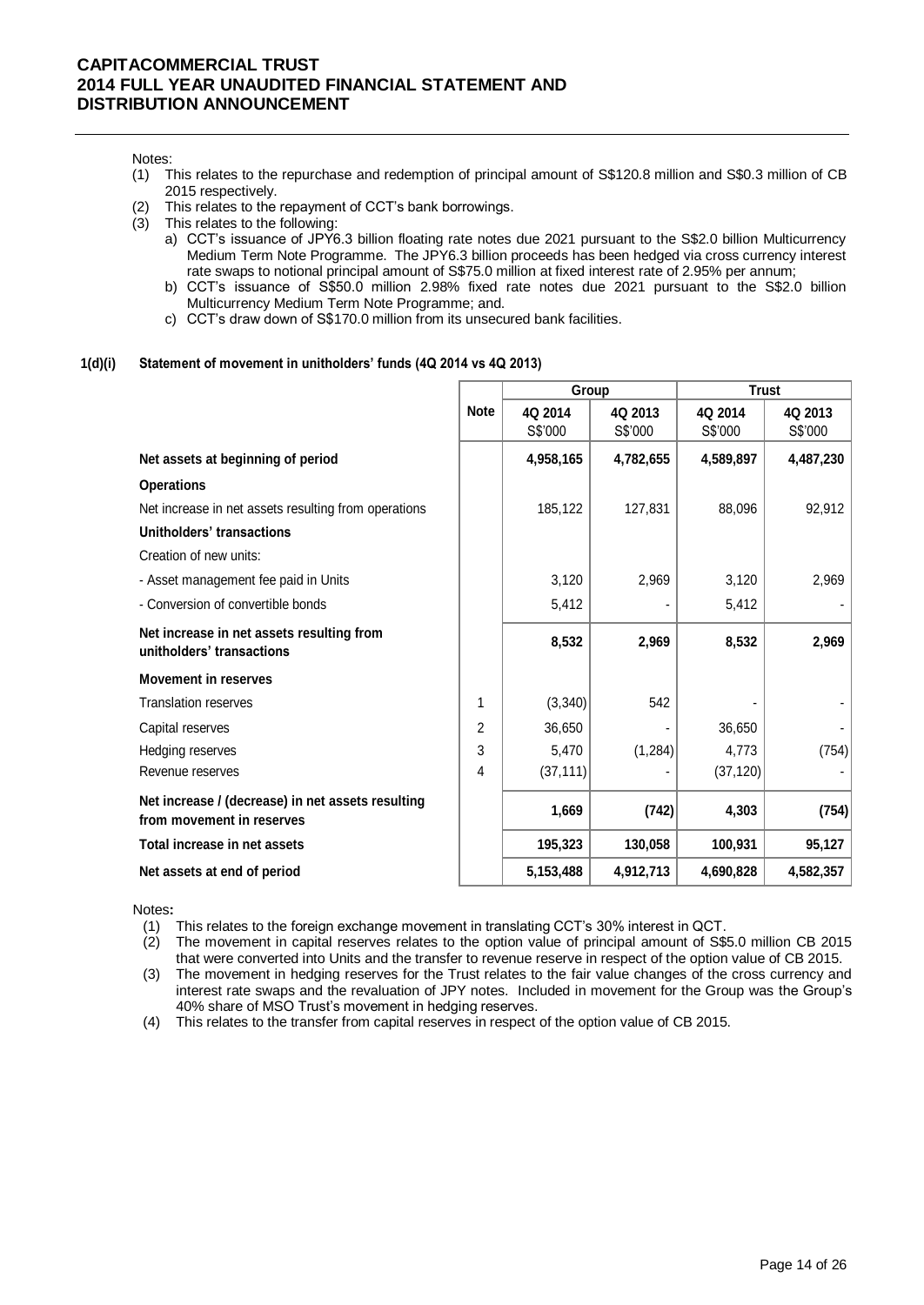#### Notes:

- (1) This relates to the repurchase and redemption of principal amount of S\$120.8 million and S\$0.3 million of CB 2015 respectively.
- (2) This relates to the repayment of CCT's bank borrowings.
- (3) This relates to the following:
	- a) CCT's issuance of JPY6.3 billion floating rate notes due 2021 pursuant to the S\$2.0 billion Multicurrency Medium Term Note Programme. The JPY6.3 billion proceeds has been hedged via cross currency interest rate swaps to notional principal amount of S\$75.0 million at fixed interest rate of 2.95% per annum;
	- b) CCT's issuance of S\$50.0 million 2.98% fixed rate notes due 2021 pursuant to the S\$2.0 billion Multicurrency Medium Term Note Programme; and.
	- c) CCT's draw down of S\$170.0 million from its unsecured bank facilities.

#### **1(d)(i) Statement of movement in unitholders' funds (4Q 2014 vs 4Q 2013)**

|                                                                                |             | Group     |           | <b>Trust</b> |           |  |
|--------------------------------------------------------------------------------|-------------|-----------|-----------|--------------|-----------|--|
|                                                                                | <b>Note</b> | 4Q 2014   | 4Q 2013   | 4Q 2014      | 4Q 2013   |  |
|                                                                                |             | S\$'000   | S\$'000   | S\$'000      | S\$'000   |  |
| Net assets at beginning of period                                              |             | 4,958,165 | 4,782,655 | 4,589,897    | 4,487,230 |  |
| <b>Operations</b>                                                              |             |           |           |              |           |  |
| Net increase in net assets resulting from operations                           |             | 185,122   | 127,831   | 88,096       | 92,912    |  |
| Unitholders' transactions                                                      |             |           |           |              |           |  |
| Creation of new units:                                                         |             |           |           |              |           |  |
| - Asset management fee paid in Units                                           |             | 3,120     | 2,969     | 3,120        | 2,969     |  |
| - Conversion of convertible bonds                                              |             | 5,412     |           | 5,412        |           |  |
| Net increase in net assets resulting from<br>unitholders' transactions         |             | 8,532     | 2,969     | 8,532        | 2,969     |  |
| <b>Movement in reserves</b>                                                    |             |           |           |              |           |  |
| <b>Translation reserves</b>                                                    | 1           | (3, 340)  | 542       |              |           |  |
| Capital reserves                                                               | 2           | 36,650    |           | 36,650       |           |  |
| Hedging reserves                                                               | 3           | 5,470     | (1, 284)  | 4,773        | (754)     |  |
| Revenue reserves                                                               | 4           | (37, 111) |           | (37, 120)    |           |  |
| Net increase / (decrease) in net assets resulting<br>from movement in reserves |             | 1,669     | (742)     | 4,303        | (754)     |  |
| Total increase in net assets                                                   |             | 195,323   | 130,058   | 100,931      | 95,127    |  |
| Net assets at end of period                                                    |             | 5,153,488 | 4,912,713 | 4,690,828    | 4,582,357 |  |

Notes**:** 

(1) This relates to the foreign exchange movement in translating CCT's 30% interest in QCT.

(2) The movement in capital reserves relates to the option value of principal amount of S\$5.0 million CB 2015 that were converted into Units and the transfer to revenue reserve in respect of the option value of CB 2015.

(3) The movement in hedging reserves for the Trust relates to the fair value changes of the cross currency and interest rate swaps and the revaluation of JPY notes. Included in movement for the Group was the Group's 40% share of MSO Trust's movement in hedging reserves.

(4) This relates to the transfer from capital reserves in respect of the option value of CB 2015.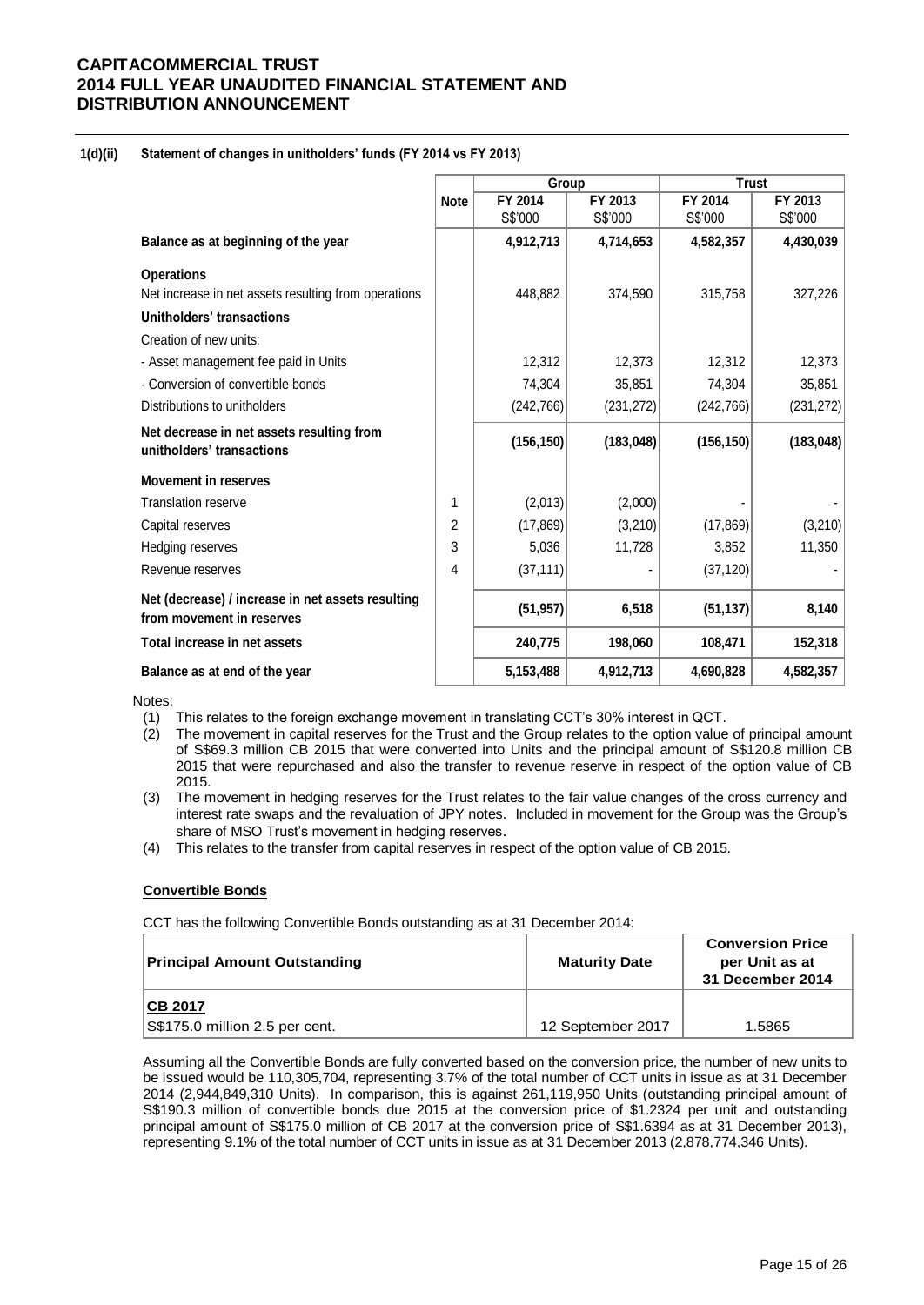### **1(d)(ii) Statement of changes in unitholders' funds (FY 2014 vs FY 2013)**

|                                                                                |                | Group      |            | <b>Trust</b> |            |  |
|--------------------------------------------------------------------------------|----------------|------------|------------|--------------|------------|--|
|                                                                                | <b>Note</b>    | FY 2014    | FY 2013    | FY 2014      | FY 2013    |  |
|                                                                                |                | S\$'000    | S\$'000    | S\$'000      | S\$'000    |  |
| Balance as at beginning of the year                                            |                | 4,912,713  | 4,714,653  | 4,582,357    | 4,430,039  |  |
| <b>Operations</b>                                                              |                |            |            |              |            |  |
| Net increase in net assets resulting from operations                           |                | 448,882    | 374,590    | 315,758      | 327,226    |  |
| Unitholders' transactions                                                      |                |            |            |              |            |  |
| Creation of new units:                                                         |                |            |            |              |            |  |
| - Asset management fee paid in Units                                           |                | 12.312     | 12,373     | 12,312       | 12,373     |  |
| - Conversion of convertible bonds                                              |                | 74,304     | 35,851     | 74,304       | 35,851     |  |
| Distributions to unitholders                                                   |                | (242, 766) | (231, 272) | (242, 766)   | (231, 272) |  |
| Net decrease in net assets resulting from<br>unitholders' transactions         |                | (156, 150) | (183, 048) | (156, 150)   | (183, 048) |  |
| <b>Movement in reserves</b>                                                    |                |            |            |              |            |  |
| <b>Translation reserve</b>                                                     | 1              | (2,013)    | (2,000)    |              |            |  |
| Capital reserves                                                               | $\overline{2}$ | (17, 869)  | (3,210)    | (17, 869)    | (3,210)    |  |
| Hedging reserves                                                               | 3              | 5,036      | 11,728     | 3,852        | 11,350     |  |
| Revenue reserves                                                               | 4              | (37, 111)  |            | (37, 120)    |            |  |
| Net (decrease) / increase in net assets resulting<br>from movement in reserves |                | (51, 957)  | 6,518      | (51, 137)    | 8,140      |  |
| Total increase in net assets                                                   |                | 240,775    | 198,060    | 108,471      | 152,318    |  |
| Balance as at end of the year                                                  |                | 5,153,488  | 4,912,713  | 4,690,828    | 4,582,357  |  |

Notes:

- (1) This relates to the foreign exchange movement in translating CCT's 30% interest in QCT.
- (2) The movement in capital reserves for the Trust and the Group relates to the option value of principal amount of S\$69.3 million CB 2015 that were converted into Units and the principal amount of S\$120.8 million CB 2015 that were repurchased and also the transfer to revenue reserve in respect of the option value of CB 2015.
- (3) The movement in hedging reserves for the Trust relates to the fair value changes of the cross currency and interest rate swaps and the revaluation of JPY notes. Included in movement for the Group was the Group's share of MSO Trust's movement in hedging reserves.
- (4) This relates to the transfer from capital reserves in respect of the option value of CB 2015.

#### **Convertible Bonds**

CCT has the following Convertible Bonds outstanding as at 31 December 2014:

| <b>Principal Amount Outstanding</b>              | <b>Maturity Date</b> | <b>Conversion Price</b><br>per Unit as at<br>31 December 2014 |  |
|--------------------------------------------------|----------------------|---------------------------------------------------------------|--|
| <b>CB 2017</b><br>S\$175.0 million 2.5 per cent. | 12 September 2017    | 1.5865                                                        |  |

Assuming all the Convertible Bonds are fully converted based on the conversion price, the number of new units to be issued would be 110,305,704, representing 3.7% of the total number of CCT units in issue as at 31 December 2014 (2,944,849,310 Units). In comparison, this is against 261,119,950 Units (outstanding principal amount of S\$190.3 million of convertible bonds due 2015 at the conversion price of \$1.2324 per unit and outstanding principal amount of S\$175.0 million of CB 2017 at the conversion price of S\$1.6394 as at 31 December 2013), representing 9.1% of the total number of CCT units in issue as at 31 December 2013 (2,878,774,346 Units).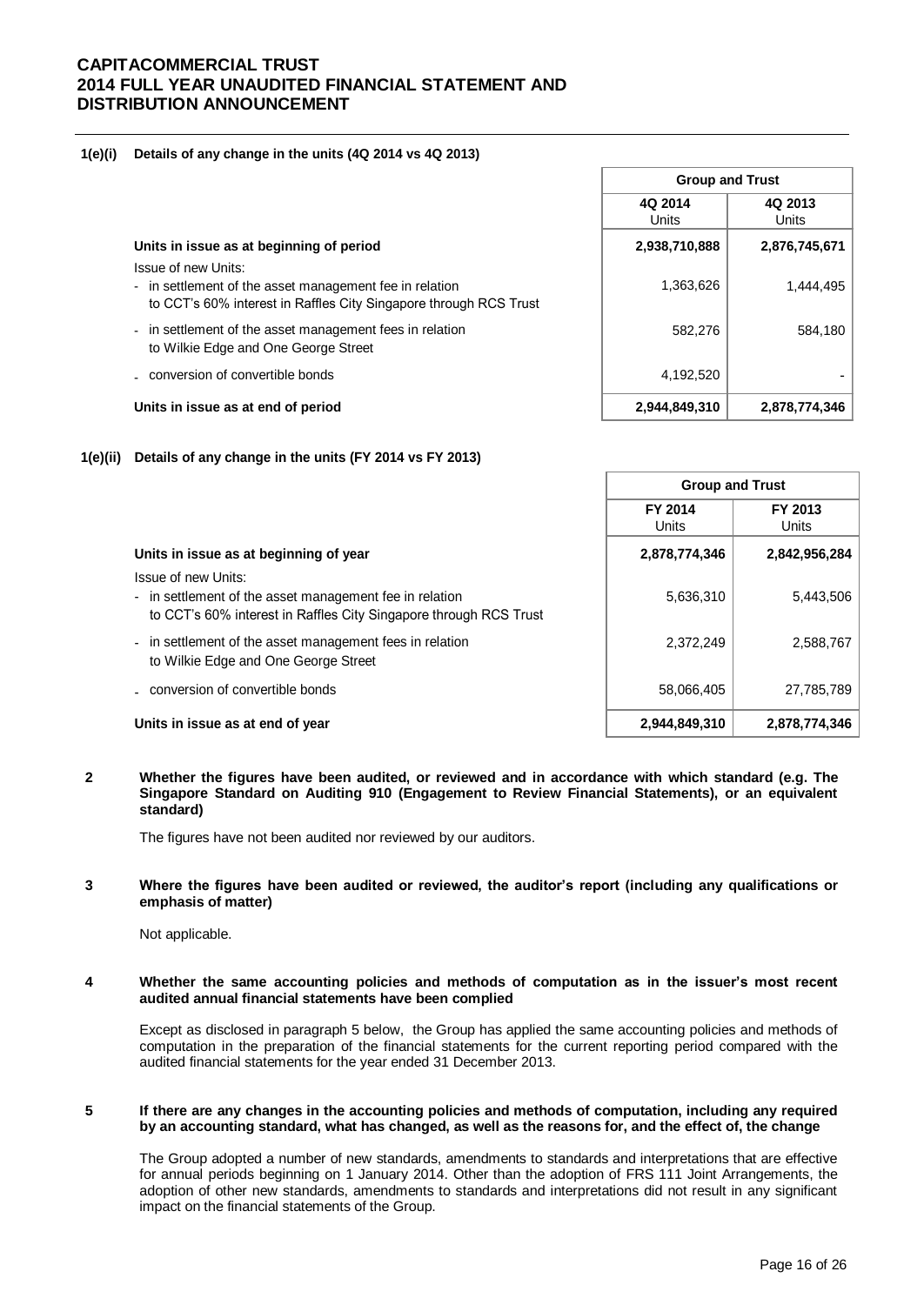### **1(e)(i) Details of any change in the units (4Q 2014 vs 4Q 2013)**

|                                                                                                                                                     | <b>Group and Trust</b> |                  |  |
|-----------------------------------------------------------------------------------------------------------------------------------------------------|------------------------|------------------|--|
|                                                                                                                                                     | 4Q 2014<br>Units       | 4Q 2013<br>Units |  |
| Units in issue as at beginning of period                                                                                                            | 2,938,710,888          | 2,876,745,671    |  |
| Issue of new Units:<br>- in settlement of the asset management fee in relation<br>to CCT's 60% interest in Raffles City Singapore through RCS Trust | 1,363,626              | 1,444,495        |  |
| - in settlement of the asset management fees in relation<br>to Wilkie Edge and One George Street                                                    | 582,276                | 584,180          |  |
| - conversion of convertible bonds                                                                                                                   | 4,192,520              |                  |  |
| Units in issue as at end of period                                                                                                                  | 2,944,849,310          | 2,878,774,346    |  |

### **1(e)(ii) Details of any change in the units (FY 2014 vs FY 2013)**

|                                                                                                                                                     | <b>Group and Trust</b> |                         |
|-----------------------------------------------------------------------------------------------------------------------------------------------------|------------------------|-------------------------|
|                                                                                                                                                     | FY 2014<br>Units       | FY 2013<br><b>Units</b> |
| Units in issue as at beginning of year                                                                                                              | 2,878,774,346          | 2,842,956,284           |
| Issue of new Units:<br>- in settlement of the asset management fee in relation<br>to CCT's 60% interest in Raffles City Singapore through RCS Trust | 5,636,310              | 5,443,506               |
| - in settlement of the asset management fees in relation<br>to Wilkie Edge and One George Street                                                    | 2,372,249              | 2,588,767               |
| . conversion of convertible bonds                                                                                                                   | 58,066,405             | 27,785,789              |
| Units in issue as at end of year                                                                                                                    | 2,944,849,310          | 2,878,774,346           |

### **2 Whether the figures have been audited, or reviewed and in accordance with which standard (e.g. The Singapore Standard on Auditing 910 (Engagement to Review Financial Statements), or an equivalent standard)**

The figures have not been audited nor reviewed by our auditors.

#### **3 Where the figures have been audited or reviewed, the auditor's report (including any qualifications or emphasis of matter)**

Not applicable.

#### **4 Whether the same accounting policies and methods of computation as in the issuer's most recent audited annual financial statements have been complied**

Except as disclosed in paragraph 5 below, the Group has applied the same accounting policies and methods of computation in the preparation of the financial statements for the current reporting period compared with the audited financial statements for the year ended 31 December 2013.

#### **5 If there are any changes in the accounting policies and methods of computation, including any required by an accounting standard, what has changed, as well as the reasons for, and the effect of, the change**

The Group adopted a number of new standards, amendments to standards and interpretations that are effective for annual periods beginning on 1 January 2014. Other than the adoption of FRS 111 Joint Arrangements, the adoption of other new standards, amendments to standards and interpretations did not result in any significant impact on the financial statements of the Group.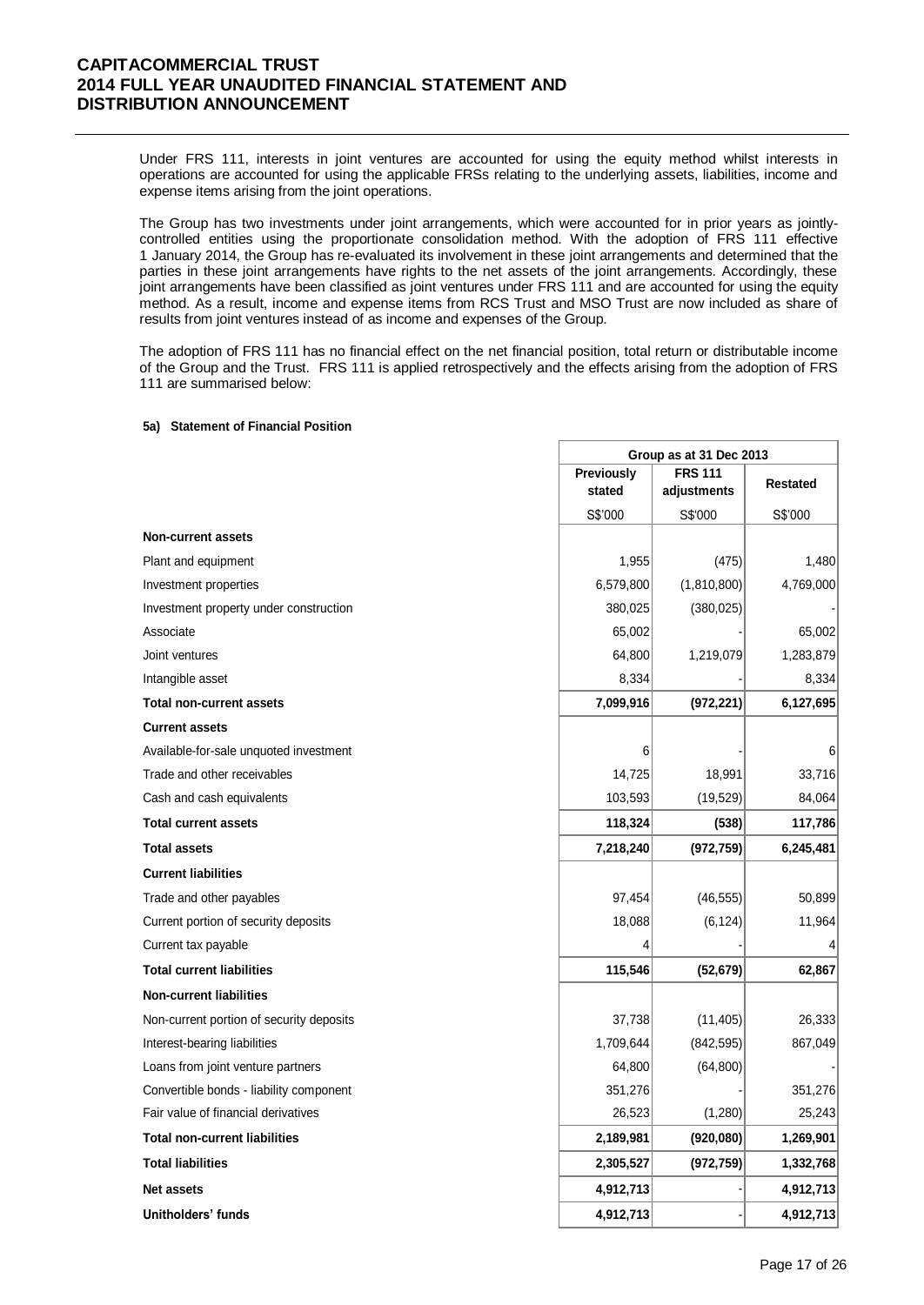Under FRS 111, interests in joint ventures are accounted for using the equity method whilst interests in operations are accounted for using the applicable FRSs relating to the underlying assets, liabilities, income and expense items arising from the joint operations.

The Group has two investments under joint arrangements, which were accounted for in prior years as jointlycontrolled entities using the proportionate consolidation method. With the adoption of FRS 111 effective 1 January 2014, the Group has re-evaluated its involvement in these joint arrangements and determined that the parties in these joint arrangements have rights to the net assets of the joint arrangements. Accordingly, these joint arrangements have been classified as joint ventures under FRS 111 and are accounted for using the equity method. As a result, income and expense items from RCS Trust and MSO Trust are now included as share of results from joint ventures instead of as income and expenses of the Group.

The adoption of FRS 111 has no financial effect on the net financial position, total return or distributable income of the Group and the Trust. FRS 111 is applied retrospectively and the effects arising from the adoption of FRS 111 are summarised below:

Г

#### **5a) Statement of Financial Position**

|                                          |            | Group as at 31 Dec 2013 |                 |  |  |
|------------------------------------------|------------|-------------------------|-----------------|--|--|
|                                          | Previously | <b>FRS 111</b>          |                 |  |  |
|                                          | stated     | adjustments             | <b>Restated</b> |  |  |
|                                          | S\$'000    | S\$'000                 | S\$'000         |  |  |
| <b>Non-current assets</b>                |            |                         |                 |  |  |
| Plant and equipment                      | 1,955      | (475)                   | 1,480           |  |  |
| Investment properties                    | 6,579,800  | (1,810,800)             | 4,769,000       |  |  |
| Investment property under construction   | 380,025    | (380, 025)              |                 |  |  |
| Associate                                | 65,002     |                         | 65,002          |  |  |
| Joint ventures                           | 64,800     | 1,219,079               | 1,283,879       |  |  |
| Intangible asset                         | 8,334      |                         | 8,334           |  |  |
| <b>Total non-current assets</b>          | 7,099,916  | (972, 221)              | 6,127,695       |  |  |
| <b>Current assets</b>                    |            |                         |                 |  |  |
| Available-for-sale unquoted investment   | 6          |                         | 6               |  |  |
| Trade and other receivables              | 14,725     | 18,991                  | 33,716          |  |  |
| Cash and cash equivalents                | 103,593    | (19, 529)               | 84,064          |  |  |
| <b>Total current assets</b>              | 118,324    | (538)                   | 117,786         |  |  |
| <b>Total assets</b>                      | 7,218,240  | (972, 759)              | 6,245,481       |  |  |
| <b>Current liabilities</b>               |            |                         |                 |  |  |
| Trade and other payables                 | 97,454     | (46, 555)               | 50,899          |  |  |
| Current portion of security deposits     | 18,088     | (6, 124)                | 11,964          |  |  |
| Current tax payable                      |            |                         |                 |  |  |
| <b>Total current liabilities</b>         | 115,546    | (52, 679)               | 62,867          |  |  |
| <b>Non-current liabilities</b>           |            |                         |                 |  |  |
| Non-current portion of security deposits | 37,738     | (11, 405)               | 26,333          |  |  |
| Interest-bearing liabilities             | 1,709,644  | (842, 595)              | 867,049         |  |  |
| Loans from joint venture partners        | 64,800     | (64, 800)               |                 |  |  |
| Convertible bonds - liability component  | 351,276    |                         | 351,276         |  |  |
| Fair value of financial derivatives      | 26,523     | (1, 280)                | 25,243          |  |  |
| <b>Total non-current liabilities</b>     | 2,189,981  | (920, 080)              | 1,269,901       |  |  |
| <b>Total liabilities</b>                 | 2,305,527  | (972, 759)              | 1,332,768       |  |  |
| <b>Net assets</b>                        | 4,912,713  |                         | 4,912,713       |  |  |
| Unitholders' funds                       | 4,912,713  |                         | 4,912,713       |  |  |

٦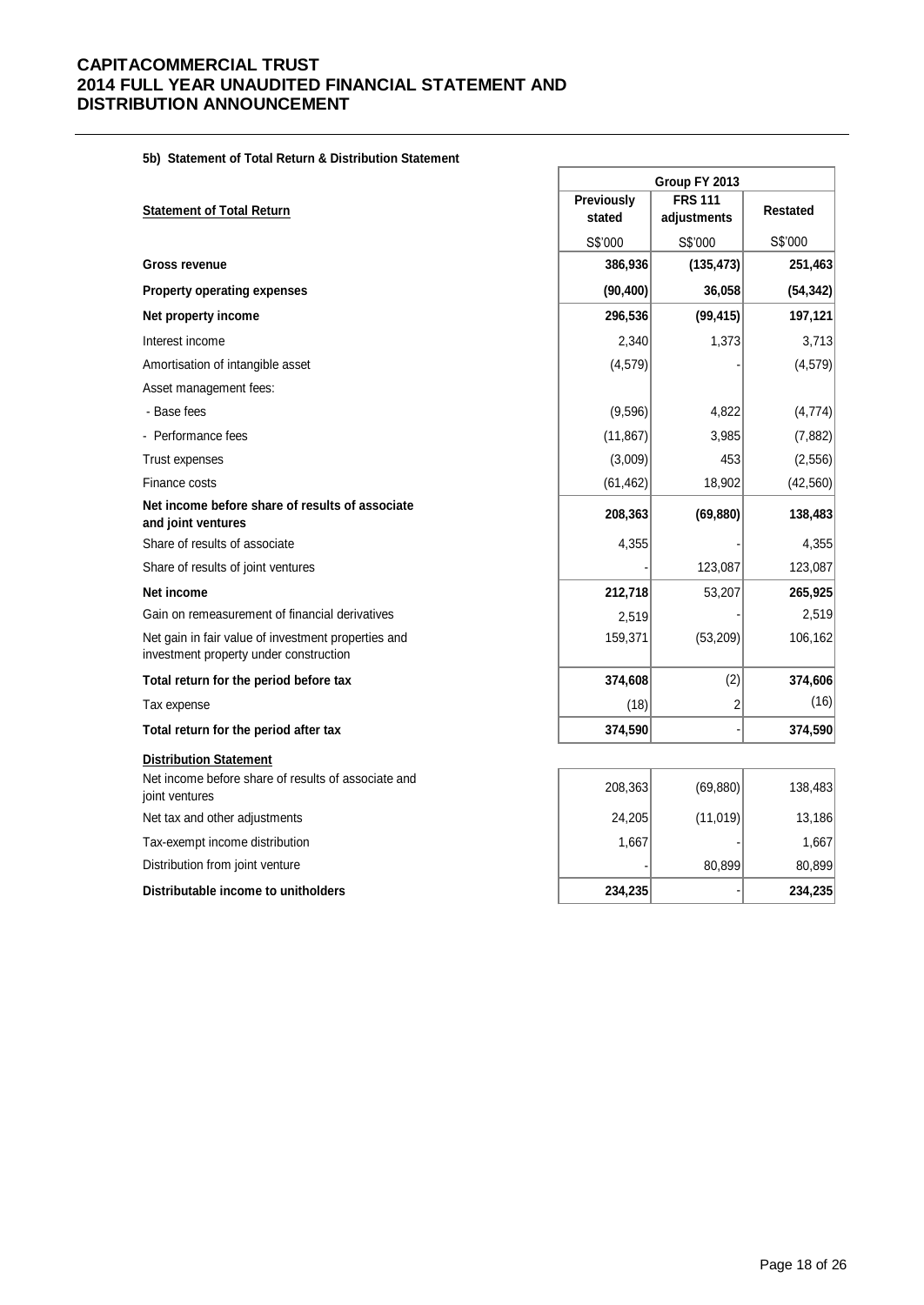**5b) Statement of Total Return & Distribution Statement**

|                                                                                               | Group FY 2013 |                |                 |  |
|-----------------------------------------------------------------------------------------------|---------------|----------------|-----------------|--|
| <b>Statement of Total Return</b>                                                              | Previously    | <b>FRS 111</b> | <b>Restated</b> |  |
|                                                                                               | stated        | adjustments    |                 |  |
|                                                                                               | S\$'000       | S\$'000        | S\$'000         |  |
| <b>Gross revenue</b>                                                                          | 386,936       | (135, 473)     | 251,463         |  |
| <b>Property operating expenses</b>                                                            | (90, 400)     | 36,058         | (54, 342)       |  |
| Net property income                                                                           | 296,536       | (99, 415)      | 197,121         |  |
| Interest income                                                                               | 2,340         | 1,373          | 3,713           |  |
| Amortisation of intangible asset                                                              | (4, 579)      |                | (4, 579)        |  |
| Asset management fees:                                                                        |               |                |                 |  |
| - Base fees                                                                                   | (9,596)       | 4,822          | (4, 774)        |  |
| - Performance fees                                                                            | (11, 867)     | 3,985          | (7, 882)        |  |
| <b>Trust expenses</b>                                                                         | (3,009)       | 453            | (2, 556)        |  |
| Finance costs                                                                                 | (61, 462)     | 18,902         | (42, 560)       |  |
| Net income before share of results of associate<br>and joint ventures                         | 208,363       | (69, 880)      | 138,483         |  |
| Share of results of associate                                                                 | 4,355         |                | 4,355           |  |
| Share of results of joint ventures                                                            |               | 123,087        | 123,087         |  |
| Net income                                                                                    | 212,718       | 53,207         | 265,925         |  |
| Gain on remeasurement of financial derivatives                                                | 2,519         |                | 2,519           |  |
| Net gain in fair value of investment properties and<br>investment property under construction | 159,371       | (53, 209)      | 106,162         |  |
| Total return for the period before tax                                                        | 374,608       | (2)            | 374,606         |  |
| Tax expense                                                                                   | (18)          | $\overline{c}$ | (16)            |  |
| Total return for the period after tax                                                         | 374,590       |                | 374,590         |  |
| <b>Distribution Statement</b>                                                                 |               |                |                 |  |
| Net income before share of results of associate and<br>joint ventures                         | 208,363       | (69, 880)      | 138,483         |  |
| Net tax and other adjustments                                                                 | 24,205        | (11, 019)      | 13,186          |  |
| Tax-exempt income distribution                                                                | 1,667         |                | 1,667           |  |
| Distribution from joint venture                                                               |               | 80,899         | 80,899          |  |
| Distributable income to unitholders                                                           | 234,235       |                | 234,235         |  |

Ì.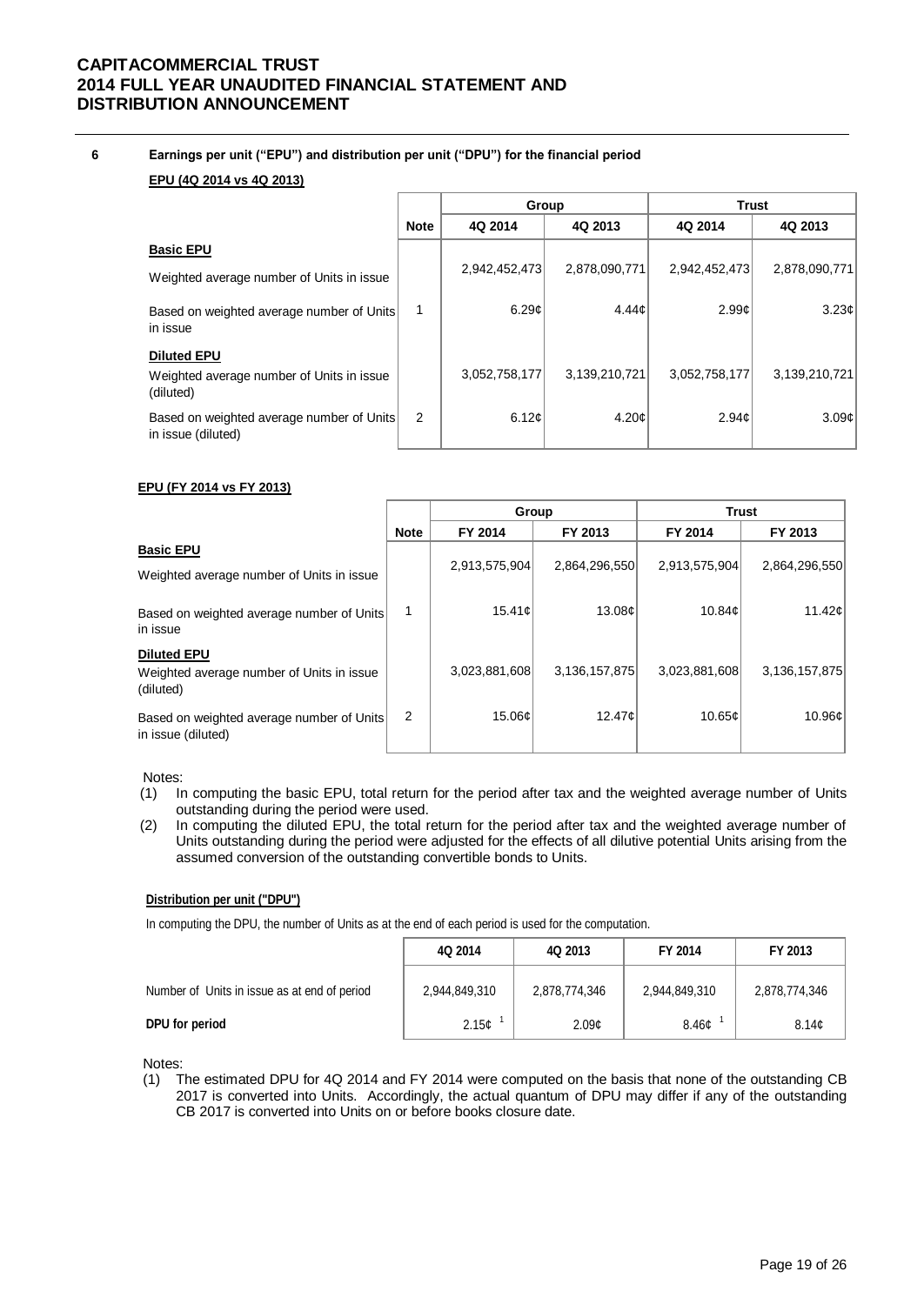**6 Earnings per unit ("EPU") and distribution per unit ("DPU") for the financial period**

### **EPU (4Q 2014 vs 4Q 2013)**

|                                                                              |             | Group         |               |               | <b>Trust</b>      |
|------------------------------------------------------------------------------|-------------|---------------|---------------|---------------|-------------------|
|                                                                              | <b>Note</b> | 4Q 2014       | 4Q 2013       | 4Q 2014       | 4Q 2013           |
| <b>Basic EPU</b><br>Weighted average number of Units in issue                |             | 2,942,452,473 | 2,878,090,771 | 2,942,452,473 | 2,878,090,771     |
| Based on weighted average number of Units<br>in issue                        | 1           | 6.29c         | 4.44c         | 2.99c         | 3.23c             |
| <b>Diluted EPU</b><br>Weighted average number of Units in issue<br>(diluted) |             | 3,052,758,177 | 3,139,210,721 | 3,052,758,177 | 3,139,210,721     |
| Based on weighted average number of Units<br>in issue (diluted)              | 2           | 6.12c         | 4.20c         | 2.94c         | 3.09 <sub>c</sub> |

### **EPU (FY 2014 vs FY 2013)**

|                                                                              |                | Group         |               | <b>Trust</b>  |                    |  |
|------------------------------------------------------------------------------|----------------|---------------|---------------|---------------|--------------------|--|
|                                                                              | <b>Note</b>    | FY 2014       | FY 2013       | FY 2014       | FY 2013            |  |
| <b>Basic EPU</b><br>Weighted average number of Units in issue                |                | 2,913,575,904 | 2,864,296,550 | 2,913,575,904 | 2,864,296,550      |  |
| Based on weighted average number of Units<br>in issue                        | 1              | 15.41c        | 13.08c        | 10.84c        | 11.42 <sub>¢</sub> |  |
| <b>Diluted EPU</b><br>Weighted average number of Units in issue<br>(diluted) |                | 3,023,881,608 | 3,136,157,875 | 3,023,881,608 | 3,136,157,875      |  |
| Based on weighted average number of Units<br>in issue (diluted)              | $\overline{2}$ | 15.06c        | 12.47c        | 10.65c        | 10.96¢             |  |

#### Notes:

- (1) In computing the basic EPU, total return for the period after tax and the weighted average number of Units outstanding during the period were used.
- (2) In computing the diluted EPU, the total return for the period after tax and the weighted average number of Units outstanding during the period were adjusted for the effects of all dilutive potential Units arising from the assumed conversion of the outstanding convertible bonds to Units.

### **Distribution per unit ("DPU")**

In computing the DPU, the number of Units as at the end of each period is used for the computation.

|                                              | 4Q 2014           | 4Q 2013           | FY 2014           | FY 2013       |
|----------------------------------------------|-------------------|-------------------|-------------------|---------------|
| Number of Units in issue as at end of period | 2,944,849,310     | 2,878,774,346     | 2,944,849,310     | 2,878,774,346 |
| DPU for period                               | 2.15 <sub>c</sub> | 2.09 <sub>c</sub> | 8.46 <sub>c</sub> | 8.14c         |

Notes:

(1) The estimated DPU for 4Q 2014 and FY 2014 were computed on the basis that none of the outstanding CB 2017 is converted into Units. Accordingly, the actual quantum of DPU may differ if any of the outstanding CB 2017 is converted into Units on or before books closure date.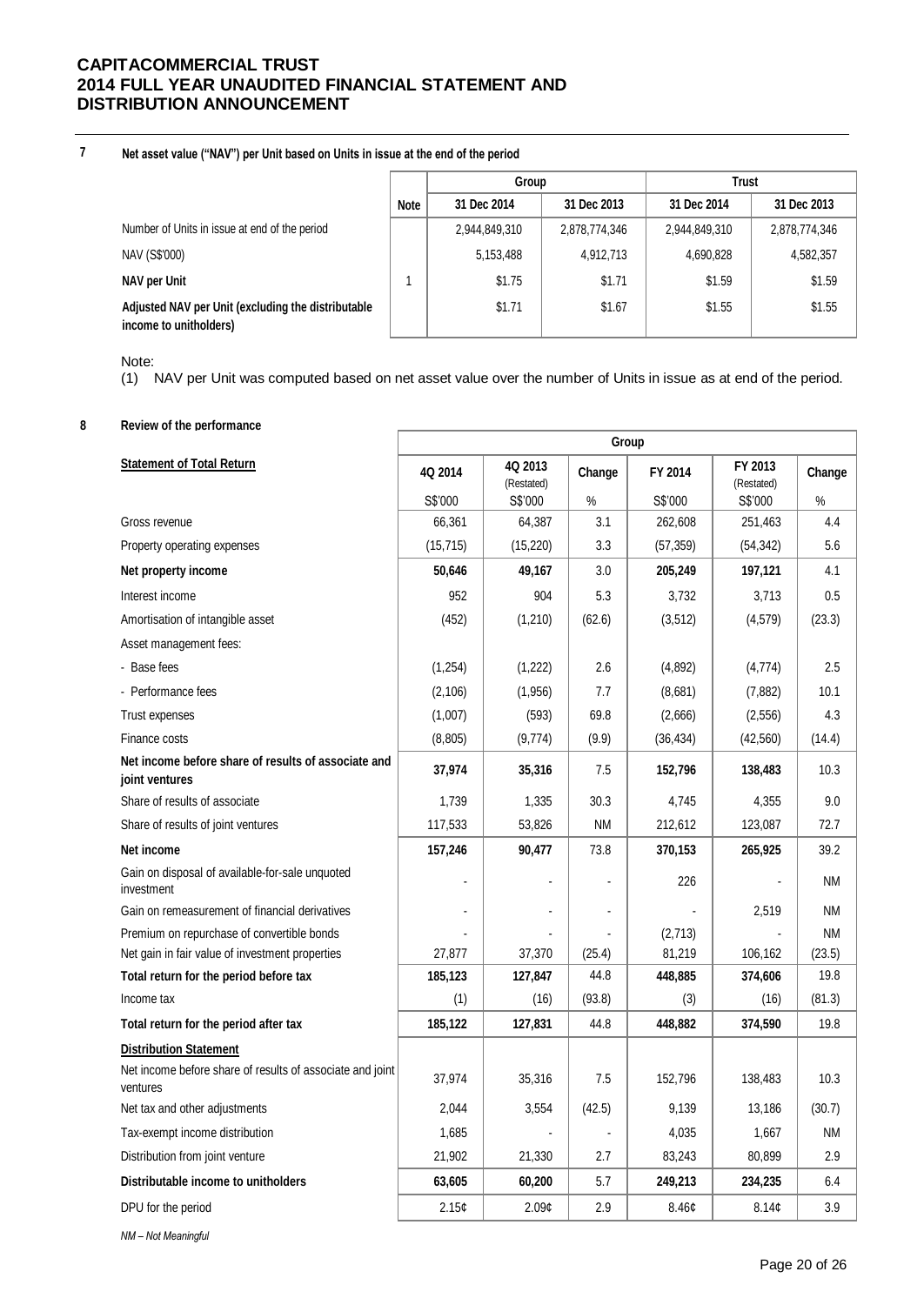**7 Net asset value ("NAV") per Unit based on Units in issue at the end of the period**

|                                                                              |             | Group         |               | Trust         |               |  |
|------------------------------------------------------------------------------|-------------|---------------|---------------|---------------|---------------|--|
|                                                                              | <b>Note</b> | 31 Dec 2014   | 31 Dec 2013   | 31 Dec 2014   | 31 Dec 2013   |  |
| Number of Units in issue at end of the period                                |             | 2,944,849,310 | 2,878,774,346 | 2,944,849,310 | 2,878,774,346 |  |
| NAV (S\$'000)                                                                |             | 5,153,488     | 4,912,713     | 4,690,828     | 4,582,357     |  |
| NAV per Unit                                                                 |             | \$1.75        | \$1.71        | \$1.59        | \$1.59        |  |
| Adjusted NAV per Unit (excluding the distributable<br>income to unitholders) |             | \$1.71        | \$1.67        | \$1.55        | \$1.55        |  |

Note:

(1) NAV per Unit was computed based on net asset value over the number of Units in issue as at end of the period.

### **8 Review of the performance**

|                                                                       | Group     |                       |           |           |                       |           |
|-----------------------------------------------------------------------|-----------|-----------------------|-----------|-----------|-----------------------|-----------|
| <b>Statement of Total Return</b>                                      | 4Q 2014   | 4Q 2013<br>(Restated) | Change    | FY 2014   | FY 2013<br>(Restated) | Change    |
|                                                                       | S\$'000   | S\$'000               | %         | S\$'000   | S\$'000               | %         |
| Gross revenue                                                         | 66,361    | 64,387                | 3.1       | 262,608   | 251,463               | 4.4       |
| Property operating expenses                                           | (15, 715) | (15, 220)             | 3.3       | (57, 359) | (54, 342)             | 5.6       |
| Net property income                                                   | 50,646    | 49,167                | 3.0       | 205,249   | 197,121               | 4.1       |
| Interest income                                                       | 952       | 904                   | 5.3       | 3,732     | 3,713                 | 0.5       |
| Amortisation of intangible asset                                      | (452)     | (1,210)               | (62.6)    | (3, 512)  | (4,579)               | (23.3)    |
| Asset management fees:                                                |           |                       |           |           |                       |           |
| - Base fees                                                           | (1,254)   | (1, 222)              | 2.6       | (4,892)   | (4,774)               | 2.5       |
| - Performance fees                                                    | (2, 106)  | (1,956)               | 7.7       | (8,681)   | (7, 882)              | 10.1      |
| Trust expenses                                                        | (1,007)   | (593)                 | 69.8      | (2,666)   | (2, 556)              | 4.3       |
| Finance costs                                                         | (8,805)   | (9, 774)              | (9.9)     | (36, 434) | (42, 560)             | (14.4)    |
| Net income before share of results of associate and<br>joint ventures | 37,974    | 35,316                | 7.5       | 152,796   | 138,483               | 10.3      |
| Share of results of associate                                         | 1,739     | 1,335                 | 30.3      | 4,745     | 4,355                 | 9.0       |
| Share of results of joint ventures                                    | 117,533   | 53,826                | <b>NM</b> | 212,612   | 123,087               | 72.7      |
| Net income                                                            | 157,246   | 90,477                | 73.8      | 370,153   | 265,925               | 39.2      |
| Gain on disposal of available-for-sale unquoted<br>investment         | ÷.        |                       |           | 226       |                       | NM        |
| Gain on remeasurement of financial derivatives                        |           |                       |           |           | 2,519                 | <b>NM</b> |
| Premium on repurchase of convertible bonds                            |           |                       |           | (2,713)   |                       | <b>NM</b> |
| Net gain in fair value of investment properties                       | 27,877    | 37,370                | (25.4)    | 81,219    | 106,162               | (23.5)    |
| Total return for the period before tax                                | 185,123   | 127,847               | 44.8      | 448,885   | 374,606               | 19.8      |
| Income tax                                                            | (1)       | (16)                  | (93.8)    | (3)       | (16)                  | (81.3)    |
| Total return for the period after tax                                 | 185,122   | 127,831               | 44.8      | 448,882   | 374,590               | 19.8      |
| <b>Distribution Statement</b>                                         |           |                       |           |           |                       |           |
| Net income before share of results of associate and joint<br>ventures | 37,974    | 35,316                | 7.5       | 152,796   | 138,483               | 10.3      |
| Net tax and other adjustments                                         | 2.044     | 3,554                 | (42.5)    | 9,139     | 13.186                | (30.7)    |
| Tax-exempt income distribution                                        | 1,685     |                       |           | 4,035     | 1,667                 | <b>NM</b> |
| Distribution from joint venture                                       | 21,902    | 21,330                | 2.7       | 83,243    | 80,899                | 2.9       |
| Distributable income to unitholders                                   | 63,605    | 60,200                | 5.7       | 249,213   | 234,235               | 6.4       |
| DPU for the period                                                    | 2.15c     | 2.09¢                 | 2.9       | 8.46c     | 8.14 <sub>c</sub>     | 3.9       |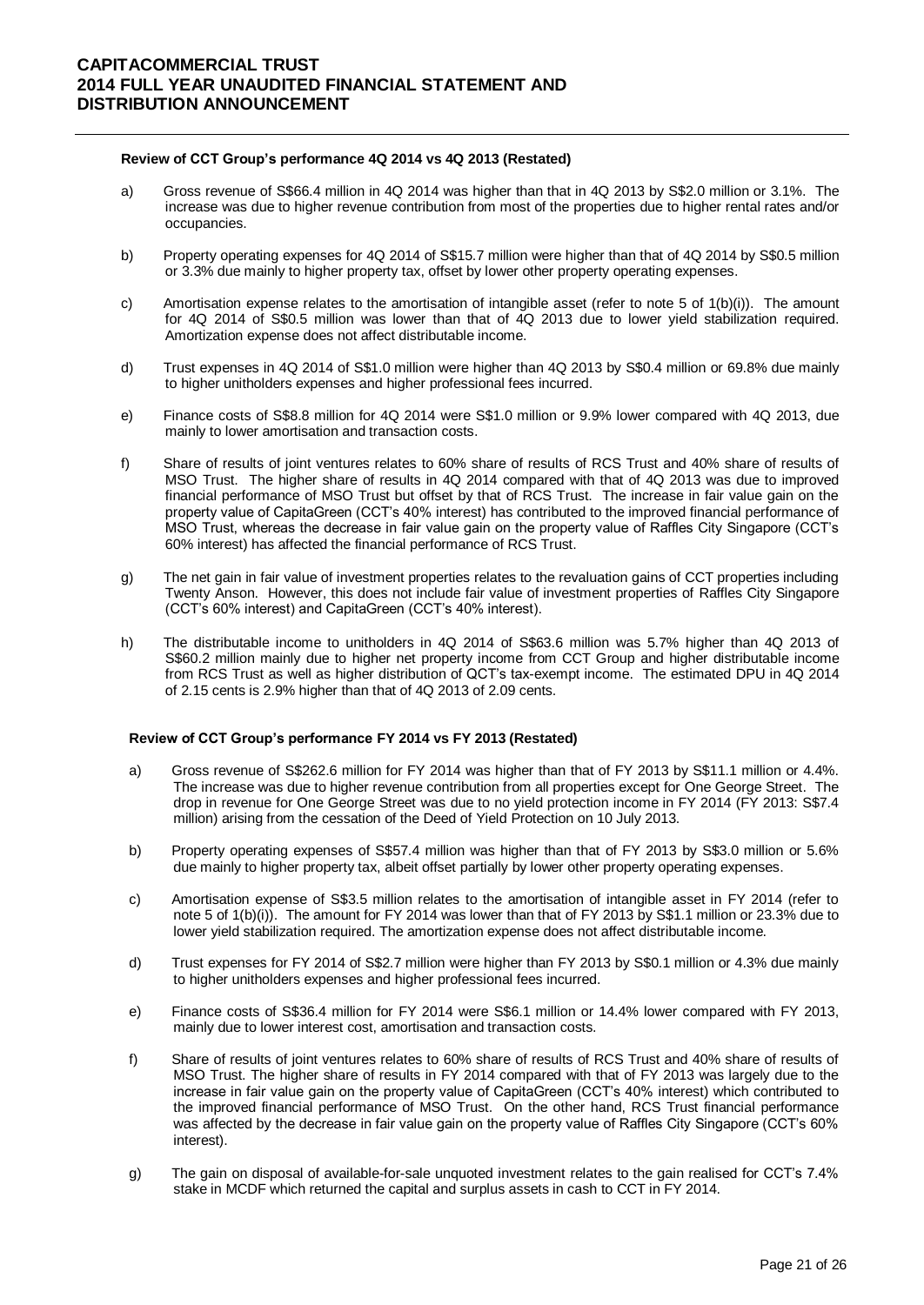### **Review of CCT Group's performance 4Q 2014 vs 4Q 2013 (Restated)**

- a) Gross revenue of S\$66.4 million in 4Q 2014 was higher than that in 4Q 2013 by S\$2.0 million or 3.1%. The increase was due to higher revenue contribution from most of the properties due to higher rental rates and/or occupancies.
- b) Property operating expenses for 4Q 2014 of S\$15.7 million were higher than that of 4Q 2014 by S\$0.5 million or 3.3% due mainly to higher property tax, offset by lower other property operating expenses.
- c) Amortisation expense relates to the amortisation of intangible asset (refer to note 5 of 1(b)(i)). The amount for 4Q 2014 of S\$0.5 million was lower than that of 4Q 2013 due to lower yield stabilization required. Amortization expense does not affect distributable income.
- d) Trust expenses in 4Q 2014 of S\$1.0 million were higher than 4Q 2013 by S\$0.4 million or 69.8% due mainly to higher unitholders expenses and higher professional fees incurred.
- e) Finance costs of S\$8.8 million for 4Q 2014 were S\$1.0 million or 9.9% lower compared with 4Q 2013, due mainly to lower amortisation and transaction costs.
- f) Share of results of joint ventures relates to 60% share of results of RCS Trust and 40% share of results of MSO Trust. The higher share of results in 4Q 2014 compared with that of 4Q 2013 was due to improved financial performance of MSO Trust but offset by that of RCS Trust. The increase in fair value gain on the property value of CapitaGreen (CCT's 40% interest) has contributed to the improved financial performance of MSO Trust, whereas the decrease in fair value gain on the property value of Raffles City Singapore (CCT's 60% interest) has affected the financial performance of RCS Trust.
- g) The net gain in fair value of investment properties relates to the revaluation gains of CCT properties including Twenty Anson. However, this does not include fair value of investment properties of Raffles City Singapore (CCT's 60% interest) and CapitaGreen (CCT's 40% interest).
- h) The distributable income to unitholders in 4Q 2014 of S\$63.6 million was 5.7% higher than 4Q 2013 of S\$60.2 million mainly due to higher net property income from CCT Group and higher distributable income from RCS Trust as well as higher distribution of QCT's tax-exempt income. The estimated DPU in 4Q 2014 of 2.15 cents is 2.9% higher than that of 4Q 2013 of 2.09 cents.

### **Review of CCT Group's performance FY 2014 vs FY 2013 (Restated)**

- a) Gross revenue of S\$262.6 million for FY 2014 was higher than that of FY 2013 by S\$11.1 million or 4.4%. The increase was due to higher revenue contribution from all properties except for One George Street. The drop in revenue for One George Street was due to no yield protection income in FY 2014 (FY 2013: S\$7.4 million) arising from the cessation of the Deed of Yield Protection on 10 July 2013.
- b) Property operating expenses of S\$57.4 million was higher than that of FY 2013 by S\$3.0 million or 5.6% due mainly to higher property tax, albeit offset partially by lower other property operating expenses.
- c) Amortisation expense of S\$3.5 million relates to the amortisation of intangible asset in FY 2014 (refer to note 5 of 1(b)(i)). The amount for FY 2014 was lower than that of FY 2013 by S\$1.1 million or 23.3% due to lower yield stabilization required. The amortization expense does not affect distributable income.
- d) Trust expenses for FY 2014 of S\$2.7 million were higher than FY 2013 by S\$0.1 million or 4.3% due mainly to higher unitholders expenses and higher professional fees incurred.
- e) Finance costs of S\$36.4 million for FY 2014 were S\$6.1 million or 14.4% lower compared with FY 2013, mainly due to lower interest cost, amortisation and transaction costs.
- f) Share of results of joint ventures relates to 60% share of results of RCS Trust and 40% share of results of MSO Trust. The higher share of results in FY 2014 compared with that of FY 2013 was largely due to the increase in fair value gain on the property value of CapitaGreen (CCT's 40% interest) which contributed to the improved financial performance of MSO Trust. On the other hand, RCS Trust financial performance was affected by the decrease in fair value gain on the property value of Raffles City Singapore (CCT's 60% interest).
- g) The gain on disposal of available-for-sale unquoted investment relates to the gain realised for CCT's 7.4% stake in MCDF which returned the capital and surplus assets in cash to CCT in FY 2014.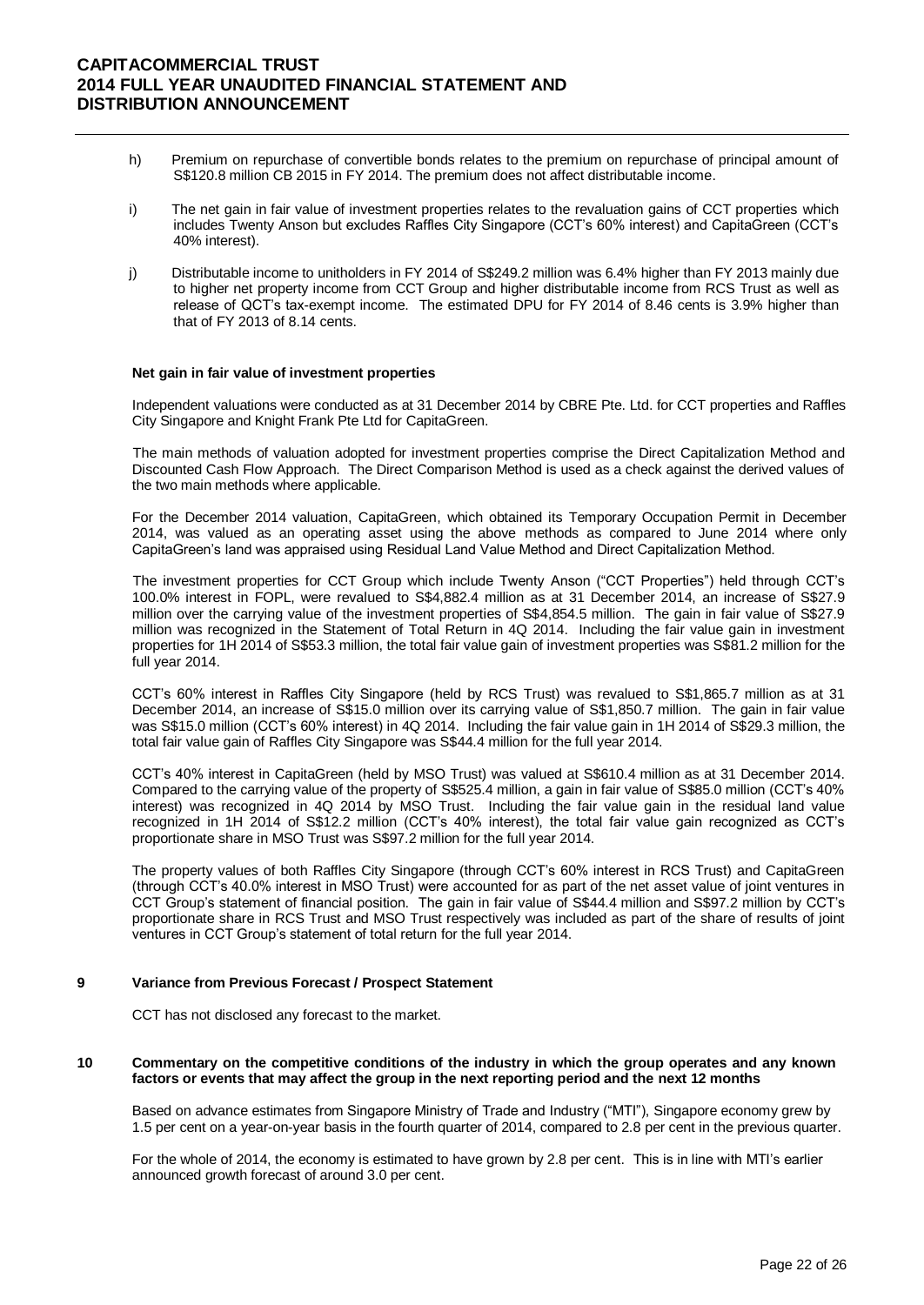- h) Premium on repurchase of convertible bonds relates to the premium on repurchase of principal amount of S\$120.8 million CB 2015 in FY 2014. The premium does not affect distributable income.
- i) The net gain in fair value of investment properties relates to the revaluation gains of CCT properties which includes Twenty Anson but excludes Raffles City Singapore (CCT's 60% interest) and CapitaGreen (CCT's 40% interest).
- j) Distributable income to unitholders in FY 2014 of S\$249.2 million was 6.4% higher than FY 2013 mainly due to higher net property income from CCT Group and higher distributable income from RCS Trust as well as release of QCT's tax-exempt income. The estimated DPU for FY 2014 of 8.46 cents is 3.9% higher than that of FY 2013 of 8.14 cents.

#### **Net gain in fair value of investment properties**

Independent valuations were conducted as at 31 December 2014 by CBRE Pte. Ltd. for CCT properties and Raffles City Singapore and Knight Frank Pte Ltd for CapitaGreen.

The main methods of valuation adopted for investment properties comprise the Direct Capitalization Method and Discounted Cash Flow Approach. The Direct Comparison Method is used as a check against the derived values of the two main methods where applicable.

For the December 2014 valuation, CapitaGreen, which obtained its Temporary Occupation Permit in December 2014, was valued as an operating asset using the above methods as compared to June 2014 where only CapitaGreen's land was appraised using Residual Land Value Method and Direct Capitalization Method.

The investment properties for CCT Group which include Twenty Anson ("CCT Properties") held through CCT's 100.0% interest in FOPL, were revalued to S\$4,882.4 million as at 31 December 2014, an increase of S\$27.9 million over the carrying value of the investment properties of S\$4,854.5 million. The gain in fair value of S\$27.9 million was recognized in the Statement of Total Return in 4Q 2014. Including the fair value gain in investment properties for 1H 2014 of S\$53.3 million, the total fair value gain of investment properties was S\$81.2 million for the full year 2014.

CCT's 60% interest in Raffles City Singapore (held by RCS Trust) was revalued to S\$1,865.7 million as at 31 December 2014, an increase of S\$15.0 million over its carrying value of S\$1,850.7 million. The gain in fair value was S\$15.0 million (CCT's 60% interest) in 4Q 2014. Including the fair value gain in 1H 2014 of S\$29.3 million, the total fair value gain of Raffles City Singapore was S\$44.4 million for the full year 2014.

CCT's 40% interest in CapitaGreen (held by MSO Trust) was valued at S\$610.4 million as at 31 December 2014. Compared to the carrying value of the property of S\$525.4 million, a gain in fair value of S\$85.0 million (CCT's 40% interest) was recognized in 4Q 2014 by MSO Trust. Including the fair value gain in the residual land value recognized in 1H 2014 of S\$12.2 million (CCT's 40% interest), the total fair value gain recognized as CCT's proportionate share in MSO Trust was S\$97.2 million for the full year 2014.

The property values of both Raffles City Singapore (through CCT's 60% interest in RCS Trust) and CapitaGreen (through CCT's 40.0% interest in MSO Trust) were accounted for as part of the net asset value of joint ventures in CCT Group's statement of financial position. The gain in fair value of S\$44.4 million and S\$97.2 million by CCT's proportionate share in RCS Trust and MSO Trust respectively was included as part of the share of results of joint ventures in CCT Group's statement of total return for the full year 2014.

#### **9 Variance from Previous Forecast / Prospect Statement**

CCT has not disclosed any forecast to the market.

### **10 Commentary on the competitive conditions of the industry in which the group operates and any known factors or events that may affect the group in the next reporting period and the next 12 months**

Based on advance estimates from Singapore Ministry of Trade and Industry ("MTI"), Singapore economy grew by 1.5 per cent on a year-on-year basis in the fourth quarter of 2014, compared to 2.8 per cent in the previous quarter.

For the whole of 2014, the economy is estimated to have grown by 2.8 per cent. This is in line with MTI's earlier announced growth forecast of around 3.0 per cent.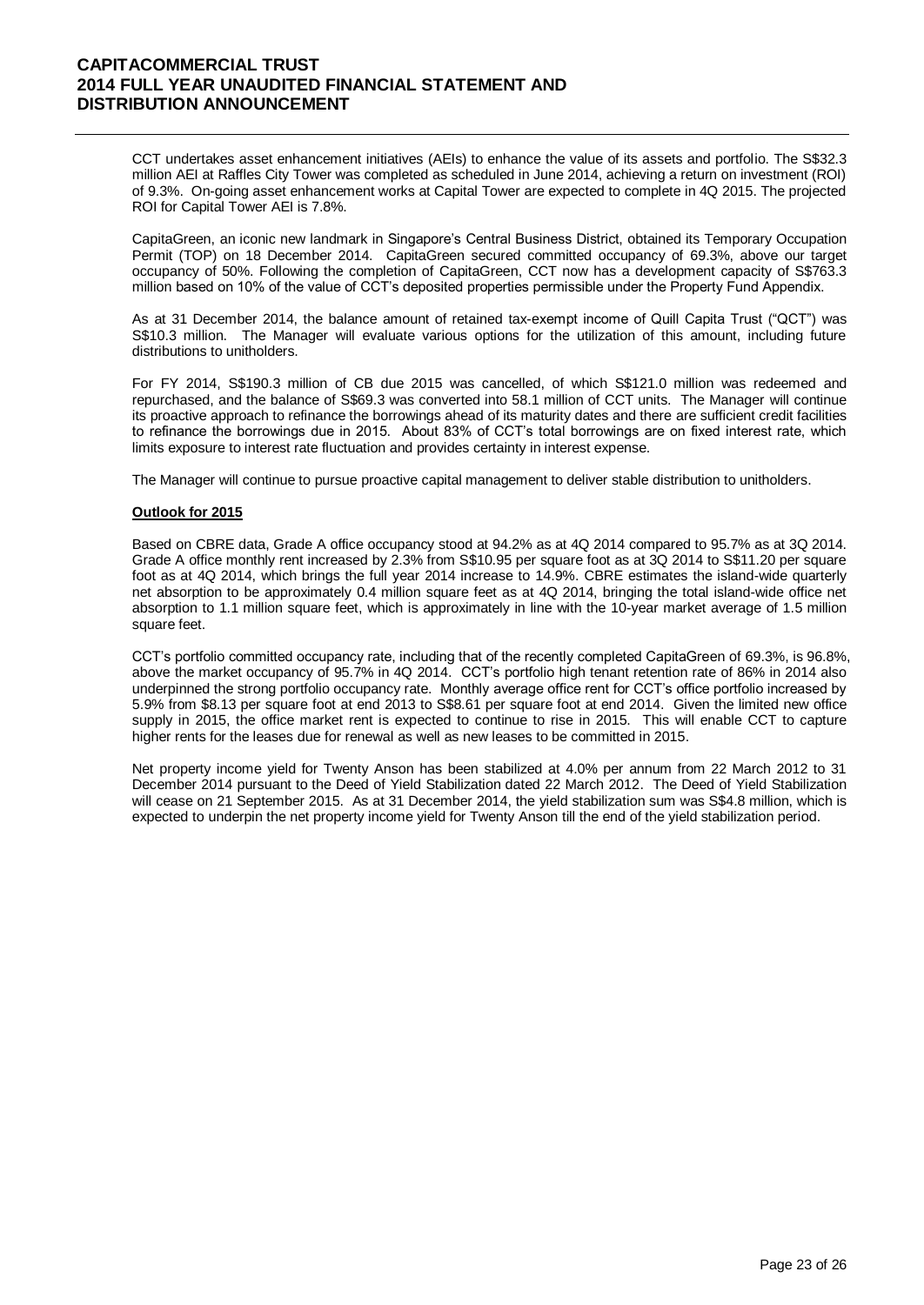CCT undertakes asset enhancement initiatives (AEIs) to enhance the value of its assets and portfolio. The S\$32.3 million AEI at Raffles City Tower was completed as scheduled in June 2014, achieving a return on investment (ROI) of 9.3%. On-going asset enhancement works at Capital Tower are expected to complete in 4Q 2015. The projected ROI for Capital Tower AEI is 7.8%.

CapitaGreen, an iconic new landmark in Singapore's Central Business District, obtained its Temporary Occupation Permit (TOP) on 18 December 2014. CapitaGreen secured committed occupancy of 69.3%, above our target occupancy of 50%. Following the completion of CapitaGreen, CCT now has a development capacity of S\$763.3 million based on 10% of the value of CCT's deposited properties permissible under the Property Fund Appendix.

As at 31 December 2014, the balance amount of retained tax-exempt income of Quill Capita Trust ("QCT") was S\$10.3 million. The Manager will evaluate various options for the utilization of this amount, including future distributions to unitholders.

For FY 2014, S\$190.3 million of CB due 2015 was cancelled, of which S\$121.0 million was redeemed and repurchased, and the balance of S\$69.3 was converted into 58.1 million of CCT units. The Manager will continue its proactive approach to refinance the borrowings ahead of its maturity dates and there are sufficient credit facilities to refinance the borrowings due in 2015. About 83% of CCT's total borrowings are on fixed interest rate, which limits exposure to interest rate fluctuation and provides certainty in interest expense.

The Manager will continue to pursue proactive capital management to deliver stable distribution to unitholders.

#### **Outlook for 2015**

Based on CBRE data, Grade A office occupancy stood at 94.2% as at 4Q 2014 compared to 95.7% as at 3Q 2014. Grade A office monthly rent increased by 2.3% from S\$10.95 per square foot as at 3Q 2014 to S\$11.20 per square foot as at 4Q 2014, which brings the full year 2014 increase to 14.9%. CBRE estimates the island-wide quarterly net absorption to be approximately 0.4 million square feet as at 4Q 2014, bringing the total island-wide office net absorption to 1.1 million square feet, which is approximately in line with the 10-year market average of 1.5 million square feet.

CCT's portfolio committed occupancy rate, including that of the recently completed CapitaGreen of 69.3%, is 96.8%, above the market occupancy of 95.7% in 4Q 2014. CCT's portfolio high tenant retention rate of 86% in 2014 also underpinned the strong portfolio occupancy rate. Monthly average office rent for CCT's office portfolio increased by 5.9% from \$8.13 per square foot at end 2013 to S\$8.61 per square foot at end 2014. Given the limited new office supply in 2015, the office market rent is expected to continue to rise in 2015. This will enable CCT to capture higher rents for the leases due for renewal as well as new leases to be committed in 2015.

Net property income yield for Twenty Anson has been stabilized at 4.0% per annum from 22 March 2012 to 31 December 2014 pursuant to the Deed of Yield Stabilization dated 22 March 2012. The Deed of Yield Stabilization will cease on 21 September 2015. As at 31 December 2014, the yield stabilization sum was S\$4.8 million, which is expected to underpin the net property income yield for Twenty Anson till the end of the yield stabilization period.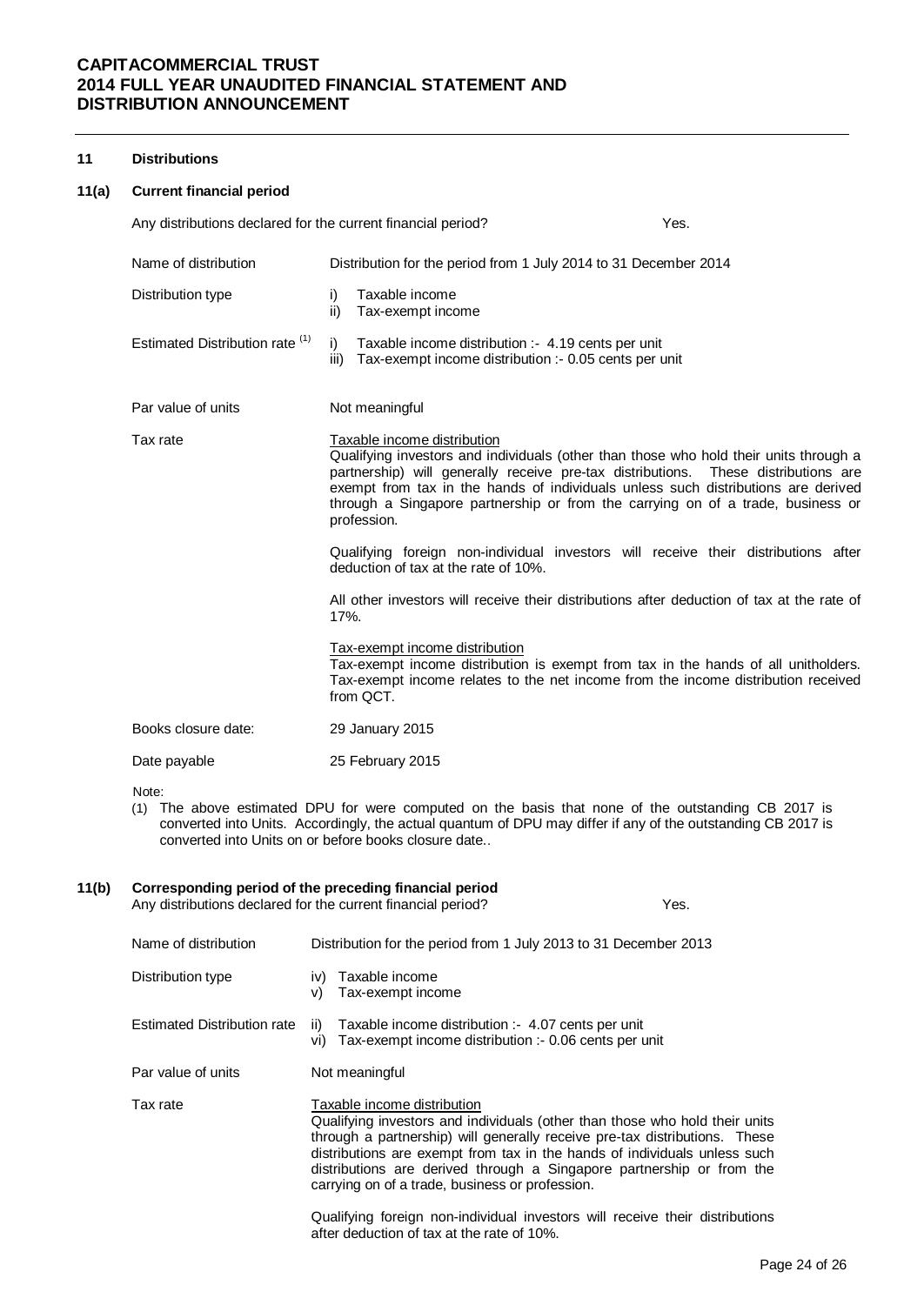#### **11 Distributions**

#### **11(a) Current financial period**

| Any distributions declared for the current financial period? | Yes.                                                                                                                                                                                                                                                                                                                                                                                                                                                                                                                                                                                                                                                                                                                                                                                                                                                            |
|--------------------------------------------------------------|-----------------------------------------------------------------------------------------------------------------------------------------------------------------------------------------------------------------------------------------------------------------------------------------------------------------------------------------------------------------------------------------------------------------------------------------------------------------------------------------------------------------------------------------------------------------------------------------------------------------------------------------------------------------------------------------------------------------------------------------------------------------------------------------------------------------------------------------------------------------|
| Name of distribution                                         | Distribution for the period from 1 July 2014 to 31 December 2014                                                                                                                                                                                                                                                                                                                                                                                                                                                                                                                                                                                                                                                                                                                                                                                                |
| Distribution type                                            | Taxable income<br>i)<br>ii)<br>Tax-exempt income                                                                                                                                                                                                                                                                                                                                                                                                                                                                                                                                                                                                                                                                                                                                                                                                                |
| Estimated Distribution rate (1)                              | i)<br>Taxable income distribution :- 4.19 cents per unit<br>iii)<br>Tax-exempt income distribution :- 0.05 cents per unit                                                                                                                                                                                                                                                                                                                                                                                                                                                                                                                                                                                                                                                                                                                                       |
| Par value of units                                           | Not meaningful                                                                                                                                                                                                                                                                                                                                                                                                                                                                                                                                                                                                                                                                                                                                                                                                                                                  |
| Tax rate                                                     | Taxable income distribution<br>Qualifying investors and individuals (other than those who hold their units through a<br>partnership) will generally receive pre-tax distributions. These distributions are<br>exempt from tax in the hands of individuals unless such distributions are derived<br>through a Singapore partnership or from the carrying on of a trade, business or<br>profession.<br>Qualifying foreign non-individual investors will receive their distributions after<br>deduction of tax at the rate of 10%.<br>All other investors will receive their distributions after deduction of tax at the rate of<br>17%.<br>Tax-exempt income distribution<br>Tax-exempt income distribution is exempt from tax in the hands of all unitholders.<br>Tax-exempt income relates to the net income from the income distribution received<br>from QCT. |
| Books closure date:                                          | 29 January 2015                                                                                                                                                                                                                                                                                                                                                                                                                                                                                                                                                                                                                                                                                                                                                                                                                                                 |
| Date payable                                                 | 25 February 2015                                                                                                                                                                                                                                                                                                                                                                                                                                                                                                                                                                                                                                                                                                                                                                                                                                                |

Note:

(1) The above estimated DPU for were computed on the basis that none of the outstanding CB 2017 is converted into Units. Accordingly, the actual quantum of DPU may differ if any of the outstanding CB 2017 is converted into Units on or before books closure date..

### **11(b) Corresponding period of the preceding financial period**

Any distributions declared for the current financial period? Yes.

| Name of distribution               | Distribution for the period from 1 July 2013 to 31 December 2013                                                                                                                                                                                                                                                                                                                                  |  |  |  |  |  |
|------------------------------------|---------------------------------------------------------------------------------------------------------------------------------------------------------------------------------------------------------------------------------------------------------------------------------------------------------------------------------------------------------------------------------------------------|--|--|--|--|--|
| Distribution type                  | iv) Taxable income<br>Tax-exempt income<br>V)                                                                                                                                                                                                                                                                                                                                                     |  |  |  |  |  |
| <b>Estimated Distribution rate</b> | Taxable income distribution :- 4.07 cents per unit<br>ii)<br>vi) Tax-exempt income distribution :- 0.06 cents per unit                                                                                                                                                                                                                                                                            |  |  |  |  |  |
| Par value of units                 | Not meaningful                                                                                                                                                                                                                                                                                                                                                                                    |  |  |  |  |  |
| Tax rate                           | Taxable income distribution<br>Qualifying investors and individuals (other than those who hold their units<br>through a partnership) will generally receive pre-tax distributions. These<br>distributions are exempt from tax in the hands of individuals unless such<br>distributions are derived through a Singapore partnership or from the<br>carrying on of a trade, business or profession. |  |  |  |  |  |
|                                    | Qualifying foreign non-individual investors will receive their distributions<br>after deduction of tax at the rate of 10%.                                                                                                                                                                                                                                                                        |  |  |  |  |  |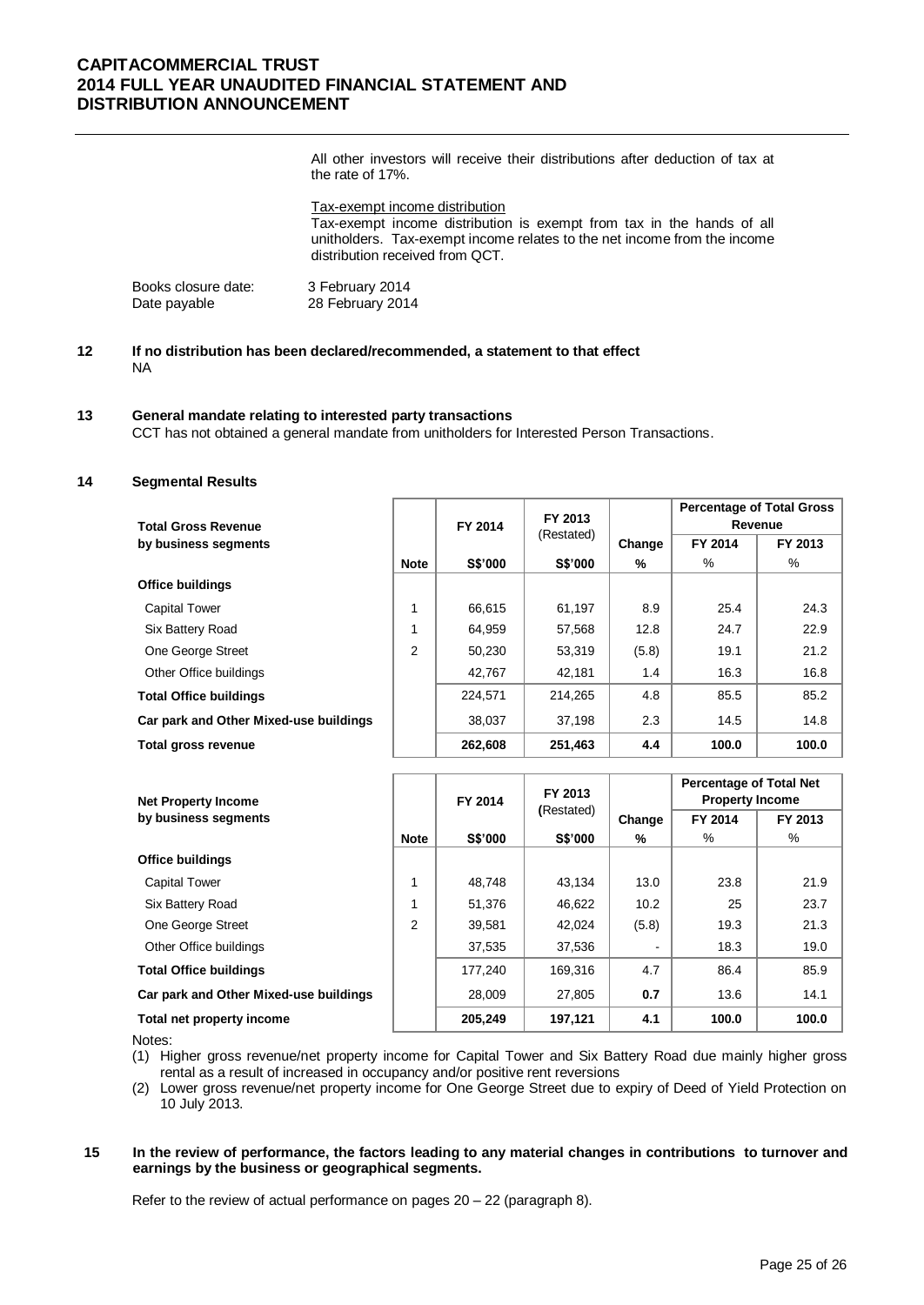All other investors will receive their distributions after deduction of tax at the rate of 17%.

Tax-exempt income distribution Tax-exempt income distribution is exempt from tax in the hands of all unitholders. Tax-exempt income relates to the net income from the income distribution received from QCT.

| Books closure date: | 3 February 2014  |
|---------------------|------------------|
| Date payable        | 28 February 2014 |

### **12 If no distribution has been declared/recommended, a statement to that effect** NA

#### **13 General mandate relating to interested party transactions**

CCT has not obtained a general mandate from unitholders for Interested Person Transactions.

### **14 Segmental Results**

| <b>Total Gross Revenue</b>             |             | FY 2014    | FY 2013 |        | <b>Percentage of Total Gross</b><br>Revenue |         |
|----------------------------------------|-------------|------------|---------|--------|---------------------------------------------|---------|
| by business segments                   |             | (Restated) |         | Change | FY 2014                                     | FY 2013 |
|                                        | <b>Note</b> | S\$'000    | S\$'000 | %      | %                                           | %       |
| <b>Office buildings</b>                |             |            |         |        |                                             |         |
| <b>Capital Tower</b>                   | 1           | 66.615     | 61.197  | 8.9    | 25.4                                        | 24.3    |
| Six Battery Road                       | 1           | 64.959     | 57.568  | 12.8   | 24.7                                        | 22.9    |
| One George Street                      | 2           | 50.230     | 53,319  | (5.8)  | 19.1                                        | 21.2    |
| Other Office buildings                 |             | 42,767     | 42,181  | 1.4    | 16.3                                        | 16.8    |
| <b>Total Office buildings</b>          |             | 224.571    | 214,265 | 4.8    | 85.5                                        | 85.2    |
| Car park and Other Mixed-use buildings |             | 38,037     | 37,198  | 2.3    | 14.5                                        | 14.8    |
| Total gross revenue                    |             | 262,608    | 251,463 | 4.4    | 100.0                                       | 100.0   |

| <b>Net Property Income</b>             |                | FY 2014        | FY 2013<br>(Restated) |        | <b>Percentage of Total Net</b><br><b>Property Income</b> |         |
|----------------------------------------|----------------|----------------|-----------------------|--------|----------------------------------------------------------|---------|
| by business segments                   |                |                |                       | Change | FY 2014                                                  | FY 2013 |
|                                        | <b>Note</b>    | <b>S\$'000</b> | <b>S\$'000</b>        | %      | %                                                        | %       |
| <b>Office buildings</b>                |                |                |                       |        |                                                          |         |
| <b>Capital Tower</b>                   |                | 48,748         | 43.134                | 13.0   | 23.8                                                     | 21.9    |
| Six Battery Road                       |                | 51,376         | 46,622                | 10.2   | 25                                                       | 23.7    |
| One George Street                      | $\overline{c}$ | 39,581         | 42,024                | (5.8)  | 19.3                                                     | 21.3    |
| Other Office buildings                 |                | 37,535         | 37,536                |        | 18.3                                                     | 19.0    |
| <b>Total Office buildings</b>          |                | 177.240        | 169,316               | 4.7    | 86.4                                                     | 85.9    |
| Car park and Other Mixed-use buildings |                | 28,009         | 27,805                | 0.7    | 13.6                                                     | 14.1    |
| Total net property income              |                | 205,249        | 197,121               | 4.1    | 100.0                                                    | 100.0   |

Notes:

- (1) Higher gross revenue/net property income for Capital Tower and Six Battery Road due mainly higher gross rental as a result of increased in occupancy and/or positive rent reversions
- (2) Lower gross revenue/net property income for One George Street due to expiry of Deed of Yield Protection on 10 July 2013.

#### **15 In the review of performance, the factors leading to any material changes in contributions to turnover and earnings by the business or geographical segments.**

Refer to the review of actual performance on pages 20 – 22 (paragraph 8).